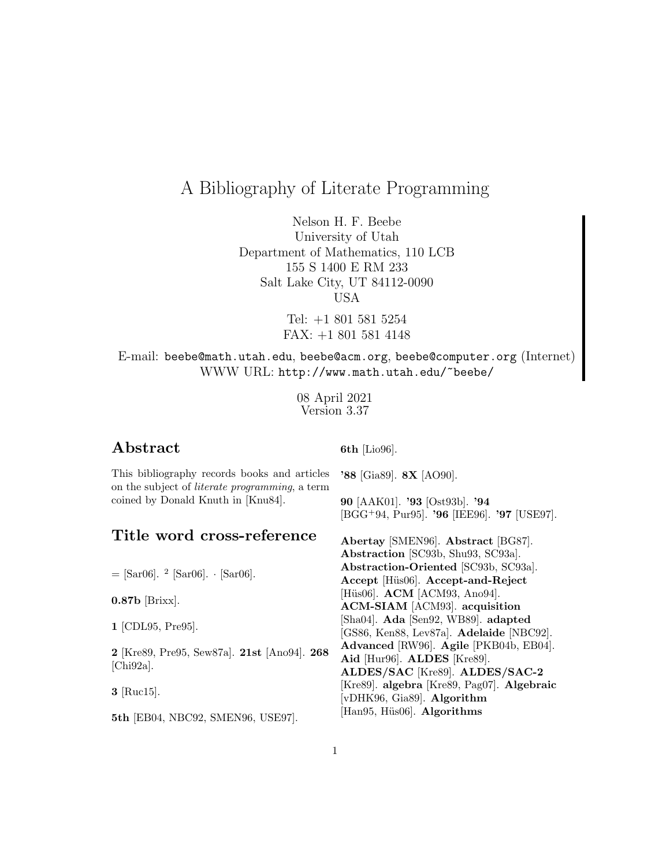# A Bibliography of Literate Programming

Nelson H. F. Beebe University of Utah Department of Mathematics, 110 LCB 155 S 1400 E RM 233 Salt Lake City, UT 84112-0090 USA

> Tel: +1 801 581 5254 FAX: +1 801 581 4148

## E-mail: beebe@math.utah.edu, beebe@acm.org, beebe@computer.org (Internet) WWW URL: http://www.math.utah.edu/~beebe/

08 April 2021 Version 3.37

## **Abstract**

**6th** [Lio96].

This bibliography records books and articles on the subject of literate programming, a term coined by Donald Knuth in [Knu84].

**'88** [Gia89]. **8X** [AO90].

**90** [AAK01]. **'93** [Ost93b]. **'94** [BGG<sup>+</sup>94, Pur95]. **'96** [IEE96]. **'97** [USE97].

## **Title word cross-reference**

 $=$  [Sar06].  $^{2}$  [Sar06].  $\cdot$  [Sar06].

**0.87b** [Brixx].

**1** [CDL95, Pre95].

**2** [Kre89, Pre95, Sew87a]. **21st** [Ano94]. **268**  $[Chi92a]$ .

**3** [Ruc15].

**5th** [EB04, NBC92, SMEN96, USE97].

**Abertay** [SMEN96]. **Abstract** [BG87]. **Abstraction** [SC93b, Shu93, SC93a]. **Abstraction-Oriented** [SC93b, SC93a]. **Accept** [H¨us06]. **Accept-and-Reject** [Hüs06]. **ACM** [ACM93, Ano94]. **ACM-SIAM** [ACM93]. **acquisition** [Sha04]. **Ada** [Sen92, WB89]. **adapted** [GS86, Ken88, Lev87a]. **Adelaide** [NBC92]. **Advanced** [RW96]. **Agile** [PKB04b, EB04]. **Aid** [Hur96]. **ALDES** [Kre89]. **ALDES/SAC** [Kre89]. **ALDES/SAC-2** [Kre89]. **algebra** [Kre89, Pag07]. **Algebraic** [vDHK96, Gia89]. **Algorithm** [Han95, Hüs06]. **Algorithms**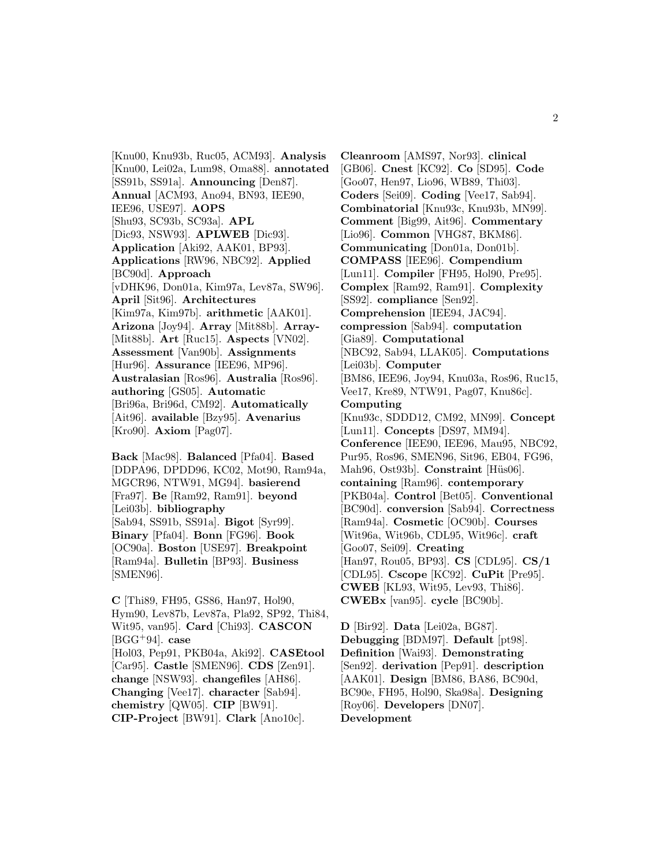[Knu00, Knu93b, Ruc05, ACM93]. **Analysis** [Knu00, Lei02a, Lum98, Oma88]. **annotated** [SS91b, SS91a]. **Announcing** [Den87]. **Annual** [ACM93, Ano94, BN93, IEE90, IEE96, USE97]. **AOPS** [Shu93, SC93b, SC93a]. **APL** [Dic93, NSW93]. **APLWEB** [Dic93]. **Application** [Aki92, AAK01, BP93]. **Applications** [RW96, NBC92]. **Applied** [BC90d]. **Approach** [vDHK96, Don01a, Kim97a, Lev87a, SW96]. **April** [Sit96]. **Architectures** [Kim97a, Kim97b]. **arithmetic** [AAK01]. **Arizona** [Joy94]. **Array** [Mit88b]. **Array-** [Mit88b]. **Art** [Ruc15]. **Aspects** [VN02]. **Assessment** [Van90b]. **Assignments** [Hur96]. **Assurance** [IEE96, MP96]. **Australasian** [Ros96]. **Australia** [Ros96]. **authoring** [GS05]. **Automatic** [Bri96a, Bri96d, CM92]. **Automatically** [Ait96]. **available** [Bzy95]. **Avenarius** [Kro90]. **Axiom** [Pag07].

**Back** [Mac98]. **Balanced** [Pfa04]. **Based** [DDPA96, DPDD96, KC02, Mot90, Ram94a, MGCR96, NTW91, MG94]. **basierend** [Fra97]. **Be** [Ram92, Ram91]. **beyond** [Lei03b]. **bibliography** [Sab94, SS91b, SS91a]. **Bigot** [Syr99]. **Binary** [Pfa04]. **Bonn** [FG96]. **Book** [OC90a]. **Boston** [USE97]. **Breakpoint** [Ram94a]. **Bulletin** [BP93]. **Business** [SMEN96].

**C** [Thi89, FH95, GS86, Han97, Hol90, Hym90, Lev87b, Lev87a, Pla92, SP92, Thi84, Wit95, van95]. **Card** [Chi93]. **CASCON** [BGG<sup>+</sup>94]. **case** [Hol03, Pep91, PKB04a, Aki92]. **CASEtool** [Car95]. **Castle** [SMEN96]. **CDS** [Zen91]. **change** [NSW93]. **changefiles** [AH86]. **Changing** [Vee17]. **character** [Sab94]. **chemistry** [QW05]. **CIP** [BW91]. **CIP-Project** [BW91]. **Clark** [Ano10c].

**Cleanroom** [AMS97, Nor93]. **clinical** [GB06]. **Cnest** [KC92]. **Co** [SD95]. **Code** [Goo07, Hen97, Lio96, WB89, Thi03]. **Coders** [Sei09]. **Coding** [Vee17, Sab94]. **Combinatorial** [Knu93c, Knu93b, MN99]. **Comment** [Big99, Ait96]. **Commentary** [Lio96]. **Common** [VHG87, BKM86]. **Communicating** [Don01a, Don01b]. **COMPASS** [IEE96]. **Compendium** [Lun11]. **Compiler** [FH95, Hol90, Pre95]. **Complex** [Ram92, Ram91]. **Complexity** [SS92]. **compliance** [Sen92]. **Comprehension** [IEE94, JAC94]. **compression** [Sab94]. **computation** [Gia89]. **Computational** [NBC92, Sab94, LLAK05]. **Computations** [Lei03b]. **Computer** [BM86, IEE96, Joy94, Knu03a, Ros96, Ruc15, Vee17, Kre89, NTW91, Pag07, Knu86c]. **Computing** [Knu93c, SDDD12, CM92, MN99]. **Concept** [Lun11]. **Concepts** [DS97, MM94]. **Conference** [IEE90, IEE96, Mau95, NBC92, Pur95, Ros96, SMEN96, Sit96, EB04, FG96, Mah96, Ost93b]. **Constraint** [Hüs06]. **containing** [Ram96]. **contemporary** [PKB04a]. **Control** [Bet05]. **Conventional** [BC90d]. **conversion** [Sab94]. **Correctness** [Ram94a]. **Cosmetic** [OC90b]. **Courses** [Wit96a, Wit96b, CDL95, Wit96c]. **craft** [Goo07, Sei09]. **Creating** [Han97, Rou05, BP93]. **CS** [CDL95]. **CS/1** [CDL95]. **Cscope** [KC92]. **CuPit** [Pre95]. **CWEB** [KL93, Wit95, Lev93, Thi86]. **CWEBx** [van95]. **cycle** [BC90b].

**D** [Bir92]. **Data** [Lei02a, BG87]. **Debugging** [BDM97]. **Default** [pt98]. **Definition** [Wai93]. **Demonstrating** [Sen92]. **derivation** [Pep91]. **description** [AAK01]. **Design** [BM86, BA86, BC90d, BC90e, FH95, Hol90, Ska98a]. **Designing** [Roy06]. **Developers** [DN07]. **Development**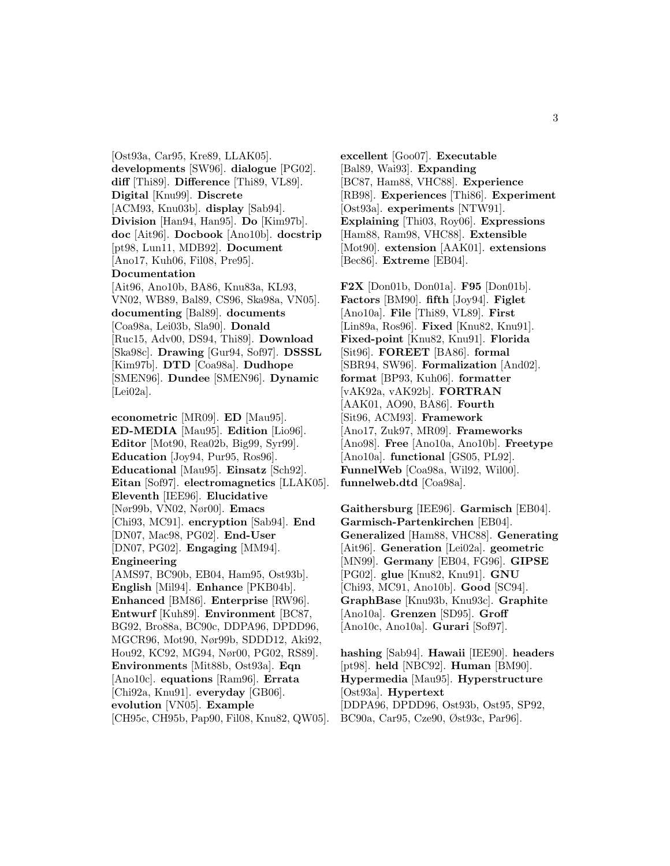[Ost93a, Car95, Kre89, LLAK05]. **developments** [SW96]. **dialogue** [PG02]. **diff** [Thi89]. **Difference** [Thi89, VL89]. **Digital** [Knu99]. **Discrete** [ACM93, Knu03b]. **display** [Sab94]. **Division** [Han94, Han95]. **Do** [Kim97b]. **doc** [Ait96]. **Docbook** [Ano10b]. **docstrip** [pt98, Lun11, MDB92]. **Document** [Ano17, Kuh06, Fil08, Pre95]. **Documentation** [Ait96, Ano10b, BA86, Knu83a, KL93, VN02, WB89, Bal89, CS96, Ska98a, VN05]. **documenting** [Bal89]. **documents** [Coa98a, Lei03b, Sla90]. **Donald** [Ruc15, Adv00, DS94, Thi89]. **Download** [Ska98c]. **Drawing** [Gur94, Sof97]. **DSSSL** [Kim97b]. **DTD** [Coa98a]. **Dudhope** [SMEN96]. **Dundee** [SMEN96]. **Dynamic**

[Lei02a].

**econometric** [MR09]. **ED** [Mau95]. **ED-MEDIA** [Mau95]. **Edition** [Lio96]. **Editor** [Mot90, Rea02b, Big99, Syr99]. **Education** [Joy94, Pur95, Ros96]. **Educational** [Mau95]. **Einsatz** [Sch92]. **Eitan** [Sof97]. **electromagnetics** [LLAK05]. **Eleventh** [IEE96]. **Elucidative** [Nør99b, VN02, Nør00]. **Emacs** [Chi93, MC91]. **encryption** [Sab94]. **End** [DN07, Mac98, PG02]. **End-User** [DN07, PG02]. **Engaging** [MM94]. **Engineering** [AMS97, BC90b, EB04, Ham95, Ost93b]. **English** [Mil94]. **Enhance** [PKB04b]. **Enhanced** [BM86]. **Enterprise** [RW96]. **Entwurf** [Kuh89]. **Environment** [BC87, BG92, Bro88a, BC90c, DDPA96, DPDD96, MGCR96, Mot90, Nør99b, SDDD12, Aki92, Hou92, KC92, MG94, Nør00, PG02, RS89]. **Environments** [Mit88b, Ost93a]. **Eqn** [Ano10c]. **equations** [Ram96]. **Errata** [Chi92a, Knu91]. **everyday** [GB06]. **evolution** [VN05]. **Example**

[CH95c, CH95b, Pap90, Fil08, Knu82, QW05].

**excellent** [Goo07]. **Executable** [Bal89, Wai93]. **Expanding** [BC87, Ham88, VHC88]. **Experience** [RB98]. **Experiences** [Thi86]. **Experiment** [Ost93a]. **experiments** [NTW91]. **Explaining** [Thi03, Roy06]. **Expressions** [Ham88, Ram98, VHC88]. **Extensible** [Mot90]. **extension** [AAK01]. **extensions** [Bec86]. **Extreme** [EB04].

**F2X** [Don01b, Don01a]. **F95** [Don01b]. **Factors** [BM90]. **fifth** [Joy94]. **Figlet** [Ano10a]. **File** [Thi89, VL89]. **First** [Lin89a, Ros96]. **Fixed** [Knu82, Knu91]. **Fixed-point** [Knu82, Knu91]. **Florida** [Sit96]. **FOREET** [BA86]. **formal** [SBR94, SW96]. **Formalization** [And02]. **format** [BP93, Kuh06]. **formatter** [vAK92a, vAK92b]. **FORTRAN** [AAK01, AO90, BA86]. **Fourth** [Sit96, ACM93]. **Framework** [Ano17, Zuk97, MR09]. **Frameworks** [Ano98]. **Free** [Ano10a, Ano10b]. **Freetype** [Ano10a]. **functional** [GS05, PL92]. **FunnelWeb** [Coa98a, Wil92, Wil00]. **funnelweb.dtd** [Coa98a].

**Gaithersburg** [IEE96]. **Garmisch** [EB04]. **Garmisch-Partenkirchen** [EB04]. **Generalized** [Ham88, VHC88]. **Generating** [Ait96]. **Generation** [Lei02a]. **geometric** [MN99]. **Germany** [EB04, FG96]. **GIPSE** [PG02]. **glue** [Knu82, Knu91]. **GNU** [Chi93, MC91, Ano10b]. **Good** [SC94]. **GraphBase** [Knu93b, Knu93c]. **Graphite** [Ano10a]. **Grenzen** [SD95]. **Groff** [Ano10c, Ano10a]. **Gurari** [Sof97].

**hashing** [Sab94]. **Hawaii** [IEE90]. **headers** [pt98]. **held** [NBC92]. **Human** [BM90]. **Hypermedia** [Mau95]. **Hyperstructure** [Ost93a]. **Hypertext** [DDPA96, DPDD96, Ost93b, Ost95, SP92, BC90a, Car95, Cze90, Øst93c, Par96].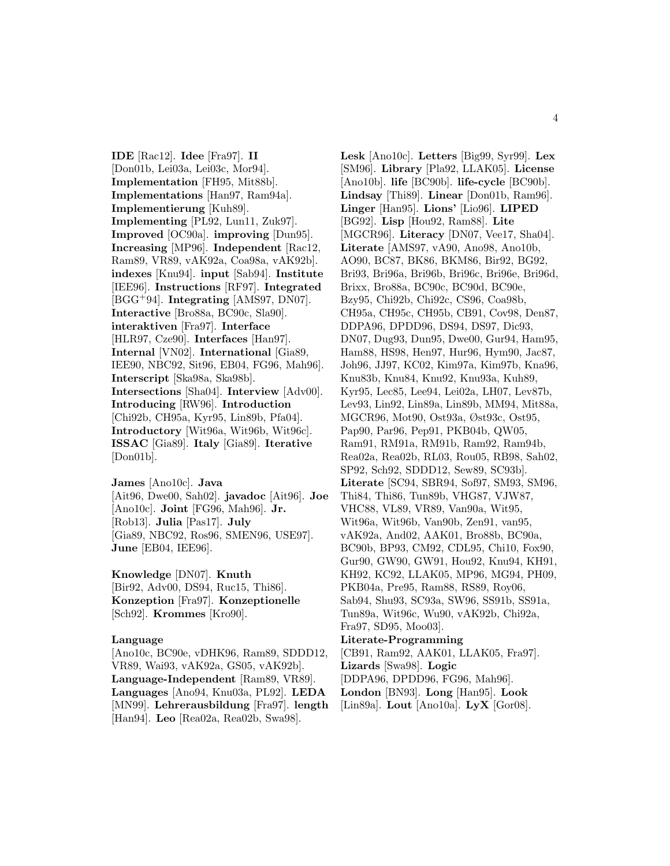**IDE** [Rac12]. **Idee** [Fra97]. **II** [Don01b, Lei03a, Lei03c, Mor94]. **Implementation** [FH95, Mit88b]. **Implementations** [Han97, Ram94a]. **Implementierung** [Kuh89]. **Implementing** [PL92, Lun11, Zuk97]. **Improved** [OC90a]. **improving** [Dun95]. **Increasing** [MP96]. **Independent** [Rac12, Ram89, VR89, vAK92a, Coa98a, vAK92b]. **indexes** [Knu94]. **input** [Sab94]. **Institute** [IEE96]. **Instructions** [RF97]. **Integrated** [BGG<sup>+</sup>94]. **Integrating** [AMS97, DN07]. **Interactive** [Bro88a, BC90c, Sla90]. **interaktiven** [Fra97]. **Interface** [HLR97, Cze90]. **Interfaces** [Han97]. **Internal** [VN02]. **International** [Gia89, IEE90, NBC92, Sit96, EB04, FG96, Mah96]. **Interscript** [Ska98a, Ska98b]. **Intersections** [Sha04]. **Interview** [Adv00]. **Introducing** [RW96]. **Introduction** [Chi92b, CH95a, Kyr95, Lin89b, Pfa04]. **Introductory** [Wit96a, Wit96b, Wit96c]. **ISSAC** [Gia89]. **Italy** [Gia89]. **Iterative** [Don01b].

**James** [Ano10c]. **Java** [Ait96, Dwe00, Sah02]. **javadoc** [Ait96]. **Joe** [Ano10c]. **Joint** [FG96, Mah96]. **Jr.** [Rob13]. **Julia** [Pas17]. **July** [Gia89, NBC92, Ros96, SMEN96, USE97]. **June** [EB04, IEE96].

**Knowledge** [DN07]. **Knuth** [Bir92, Adv00, DS94, Ruc15, Thi86]. **Konzeption** [Fra97]. **Konzeptionelle** [Sch92]. **Krommes** [Kro90].

#### **Language**

[Ano10c, BC90e, vDHK96, Ram89, SDDD12, VR89, Wai93, vAK92a, GS05, vAK92b]. **Language-Independent** [Ram89, VR89]. **Languages** [Ano94, Knu03a, PL92]. **LEDA** [MN99]. **Lehrerausbildung** [Fra97]. **length** [Han94]. **Leo** [Rea02a, Rea02b, Swa98].

**Lesk** [Ano10c]. **Letters** [Big99, Syr99]. **Lex** [SM96]. **Library** [Pla92, LLAK05]. **License** [Ano10b]. **life** [BC90b]. **life-cycle** [BC90b]. **Lindsay** [Thi89]. **Linear** [Don01b, Ram96]. **Linger** [Han95]. **Lions'** [Lio96]. **LIPED** [BG92]. **Lisp** [Hou92, Ram88]. **Lite** [MGCR96]. **Literacy** [DN07, Vee17, Sha04]. **Literate** [AMS97, vA90, Ano98, Ano10b, AO90, BC87, BK86, BKM86, Bir92, BG92, Bri93, Bri96a, Bri96b, Bri96c, Bri96e, Bri96d, Brixx, Bro88a, BC90c, BC90d, BC90e, Bzy95, Chi92b, Chi92c, CS96, Coa98b, CH95a, CH95c, CH95b, CB91, Cov98, Den87, DDPA96, DPDD96, DS94, DS97, Dic93, DN07, Dug93, Dun95, Dwe00, Gur94, Ham95, Ham88, HS98, Hen97, Hur96, Hym90, Jac87, Joh96, JJ97, KC02, Kim97a, Kim97b, Kna96, Knu83b, Knu84, Knu92, Knu93a, Kuh89, Kyr95, Lec85, Lee94, Lei02a, LH07, Lev87b, Lev93, Lin92, Lin89a, Lin89b, MM94, Mit88a, MGCR96, Mot90, Ost93a, Øst93c, Ost95, Pap90, Par96, Pep91, PKB04b, QW05, Ram91, RM91a, RM91b, Ram92, Ram94b, Rea02a, Rea02b, RL03, Rou05, RB98, Sah02, SP92, Sch92, SDDD12, Sew89, SC93b]. **Literate** [SC94, SBR94, Sof97, SM93, SM96, Thi84, Thi86, Tun89b, VHG87, VJW87, VHC88, VL89, VR89, Van90a, Wit95, Wit96a, Wit96b, Van90b, Zen91, van95, vAK92a, And02, AAK01, Bro88b, BC90a, BC90b, BP93, CM92, CDL95, Chi10, Fox90, Gur90, GW90, GW91, Hou92, Knu94, KH91, KH92, KC92, LLAK05, MP96, MG94, PH09, PKB04a, Pre95, Ram88, RS89, Roy06, Sab94, Shu93, SC93a, SW96, SS91b, SS91a, Tun89a, Wit96c, Wu90, vAK92b, Chi92a, Fra97, SD95, Moo03]. **Literate-Programming**

[CB91, Ram92, AAK01, LLAK05, Fra97]. **Lizards** [Swa98]. **Logic** [DDPA96, DPDD96, FG96, Mah96]. **London** [BN93]. **Long** [Han95]. **Look** [Lin89a]. **Lout** [Ano10a]. **LyX** [Gor08].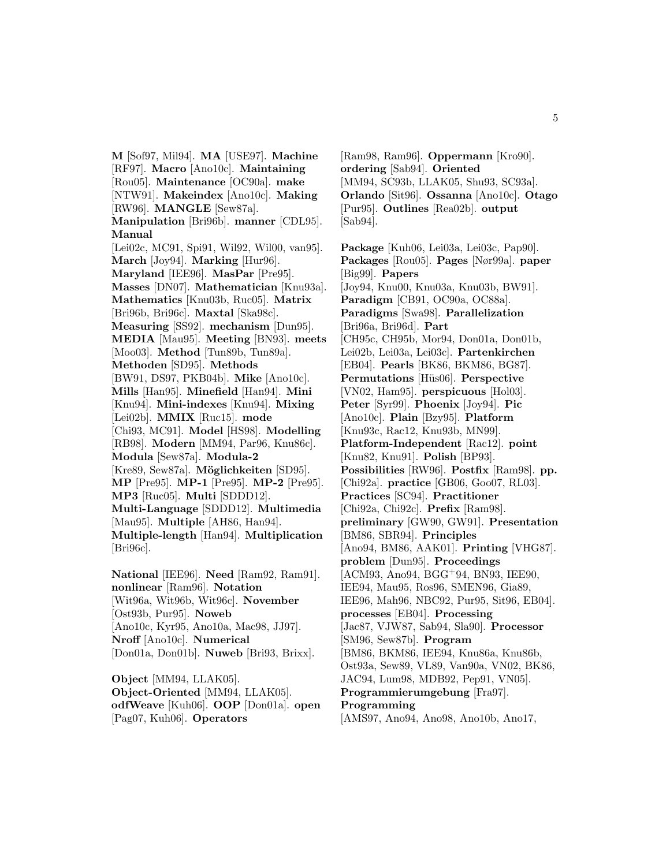**M** [Sof97, Mil94]. **MA** [USE97]. **Machine** [RF97]. **Macro** [Ano10c]. **Maintaining** [Rou05]. **Maintenance** [OC90a]. **make** [NTW91]. **Makeindex** [Ano10c]. **Making** [RW96]. **MANGLE** [Sew87a]. **Manipulation** [Bri96b]. **manner** [CDL95]. **Manual** [Lei02c, MC91, Spi91, Wil92, Wil00, van95]. **March** [Joy94]. **Marking** [Hur96]. **Maryland** [IEE96]. **MasPar** [Pre95]. **Masses** [DN07]. **Mathematician** [Knu93a]. **Mathematics** [Knu03b, Ruc05]. **Matrix** [Bri96b, Bri96c]. **Maxtal** [Ska98c]. **Measuring** [SS92]. **mechanism** [Dun95]. **MEDIA** [Mau95]. **Meeting** [BN93]. **meets** [Moo03]. **Method** [Tun89b, Tun89a]. **Methoden** [SD95]. **Methods** [BW91, DS97, PKB04b]. **Mike** [Ano10c]. **Mills** [Han95]. **Minefield** [Han94]. **Mini** [Knu94]. **Mini-indexes** [Knu94]. **Mixing** [Lei02b]. **MMIX** [Ruc15]. **mode** [Chi93, MC91]. **Model** [HS98]. **Modelling** [RB98]. **Modern** [MM94, Par96, Knu86c]. **Modula** [Sew87a]. **Modula-2** [Kre89, Sew87a]. **M¨oglichkeiten** [SD95]. **MP** [Pre95]. **MP-1** [Pre95]. **MP-2** [Pre95]. **MP3** [Ruc05]. **Multi** [SDDD12]. **Multi-Language** [SDDD12]. **Multimedia** [Mau95]. **Multiple** [AH86, Han94]. **Multiple-length** [Han94]. **Multiplication** [Bri96c].

**National** [IEE96]. **Need** [Ram92, Ram91]. **nonlinear** [Ram96]. **Notation** [Wit96a, Wit96b, Wit96c]. **November** [Ost93b, Pur95]. **Noweb** [Ano10c, Kyr95, Ano10a, Mac98, JJ97]. **Nroff** [Ano10c]. **Numerical** [Don01a, Don01b]. **Nuweb** [Bri93, Brixx].

**Object** [MM94, LLAK05]. **Object-Oriented** [MM94, LLAK05]. **odfWeave** [Kuh06]. **OOP** [Don01a]. **open** [Pag07, Kuh06]. **Operators**

[Ram98, Ram96]. **Oppermann** [Kro90]. **ordering** [Sab94]. **Oriented** [MM94, SC93b, LLAK05, Shu93, SC93a]. **Orlando** [Sit96]. **Ossanna** [Ano10c]. **Otago** [Pur95]. **Outlines** [Rea02b]. **output** [Sab94].

**Package** [Kuh06, Lei03a, Lei03c, Pap90]. **Packages** [Rou05]. **Pages** [Nør99a]. **paper** [Big99]. **Papers** [Joy94, Knu00, Knu03a, Knu03b, BW91]. **Paradigm** [CB91, OC90a, OC88a]. **Paradigms** [Swa98]. **Parallelization** [Bri96a, Bri96d]. **Part** [CH95c, CH95b, Mor94, Don01a, Don01b, Lei02b, Lei03a, Lei03c]. **Partenkirchen** [EB04]. **Pearls** [BK86, BKM86, BG87]. **Permutations** [Hüs06]. **Perspective** [VN02, Ham95]. **perspicuous** [Hol03]. **Peter** [Syr99]. **Phoenix** [Joy94]. **Pic** [Ano10c]. **Plain** [Bzy95]. **Platform** [Knu93c, Rac12, Knu93b, MN99]. **Platform-Independent** [Rac12]. **point** [Knu82, Knu91]. **Polish** [BP93]. **Possibilities** [RW96]. **Postfix** [Ram98]. **pp.** [Chi92a]. **practice** [GB06, Goo07, RL03]. **Practices** [SC94]. **Practitioner** [Chi92a, Chi92c]. **Prefix** [Ram98]. **preliminary** [GW90, GW91]. **Presentation** [BM86, SBR94]. **Principles** [Ano94, BM86, AAK01]. **Printing** [VHG87]. **problem** [Dun95]. **Proceedings** [ACM93, Ano94, BGG<sup>+</sup>94, BN93, IEE90, IEE94, Mau95, Ros96, SMEN96, Gia89, IEE96, Mah96, NBC92, Pur95, Sit96, EB04]. **processes** [EB04]. **Processing** [Jac87, VJW87, Sab94, Sla90]. **Processor** [SM96, Sew87b]. **Program** [BM86, BKM86, IEE94, Knu86a, Knu86b, Ost93a, Sew89, VL89, Van90a, VN02, BK86, JAC94, Lum98, MDB92, Pep91, VN05]. **Programmierumgebung** [Fra97]. **Programming**

[AMS97, Ano94, Ano98, Ano10b, Ano17,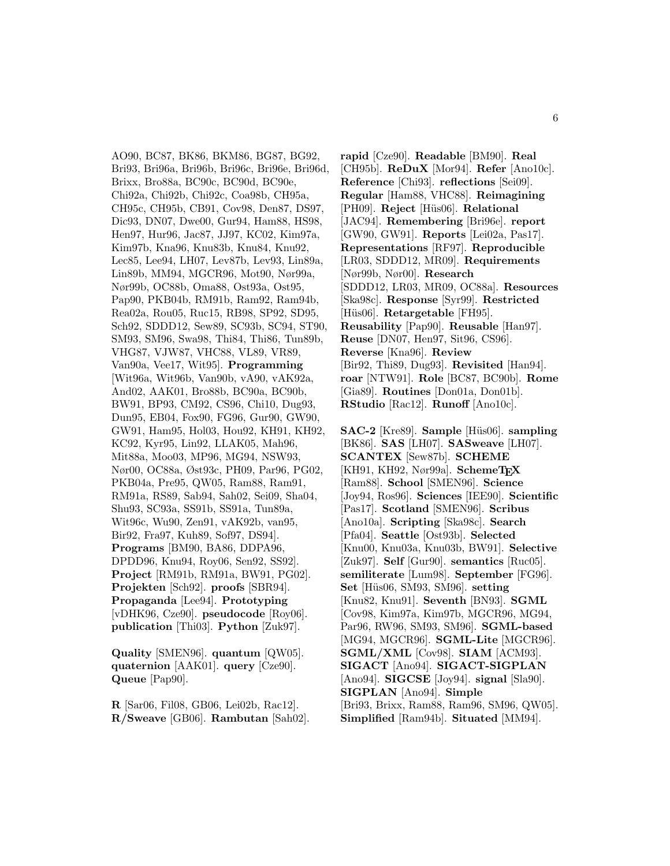AO90, BC87, BK86, BKM86, BG87, BG92, Bri93, Bri96a, Bri96b, Bri96c, Bri96e, Bri96d, Brixx, Bro88a, BC90c, BC90d, BC90e, Chi92a, Chi92b, Chi92c, Coa98b, CH95a, CH95c, CH95b, CB91, Cov98, Den87, DS97, Dic93, DN07, Dwe00, Gur94, Ham88, HS98, Hen97, Hur96, Jac87, JJ97, KC02, Kim97a, Kim97b, Kna96, Knu83b, Knu84, Knu92, Lec85, Lee94, LH07, Lev87b, Lev93, Lin89a, Lin89b, MM94, MGCR96, Mot90, Nør99a, Nør99b, OC88b, Oma88, Ost93a, Ost95, Pap90, PKB04b, RM91b, Ram92, Ram94b, Rea02a, Rou05, Ruc15, RB98, SP92, SD95, Sch92, SDDD12, Sew89, SC93b, SC94, ST90, SM93, SM96, Swa98, Thi84, Thi86, Tun89b, VHG87, VJW87, VHC88, VL89, VR89, Van90a, Vee17, Wit95]. **Programming** [Wit96a, Wit96b, Van90b, vA90, vAK92a, And02, AAK01, Bro88b, BC90a, BC90b, BW91, BP93, CM92, CS96, Chi10, Dug93, Dun95, EB04, Fox90, FG96, Gur90, GW90, GW91, Ham95, Hol03, Hou92, KH91, KH92, KC92, Kyr95, Lin92, LLAK05, Mah96, Mit88a, Moo03, MP96, MG94, NSW93, Nør00, OC88a, Øst93c, PH09, Par96, PG02, PKB04a, Pre95, QW05, Ram88, Ram91, RM91a, RS89, Sab94, Sah02, Sei09, Sha04, Shu93, SC93a, SS91b, SS91a, Tun89a, Wit96c, Wu90, Zen91, vAK92b, van95, Bir92, Fra97, Kuh89, Sof97, DS94]. **Programs** [BM90, BA86, DDPA96, DPDD96, Knu94, Roy06, Sen92, SS92]. **Project** [RM91b, RM91a, BW91, PG02]. **Projekten** [Sch92]. **proofs** [SBR94]. **Propaganda** [Lee94]. **Prototyping** [vDHK96, Cze90]. **pseudocode** [Roy06]. **publication** [Thi03]. **Python** [Zuk97].

**Quality** [SMEN96]. **quantum** [QW05]. **quaternion** [AAK01]. **query** [Cze90]. **Queue** [Pap90].

**R** [Sar06, Fil08, GB06, Lei02b, Rac12]. **R/Sweave** [GB06]. **Rambutan** [Sah02].

**rapid** [Cze90]. **Readable** [BM90]. **Real** [CH95b]. **ReDuX** [Mor94]. **Refer** [Ano10c]. **Reference** [Chi93]. **reflections** [Sei09]. **Regular** [Ham88, VHC88]. **Reimagining** [PH09]. **Reject** [H¨us06]. **Relational** [JAC94]. **Remembering** [Bri96e]. **report** [GW90, GW91]. **Reports** [Lei02a, Pas17]. **Representations** [RF97]. **Reproducible** [LR03, SDDD12, MR09]. **Requirements** [Nør99b, Nør00]. **Research** [SDDD12, LR03, MR09, OC88a]. **Resources** [Ska98c]. **Response** [Syr99]. **Restricted** [Hüs06]. **Retargetable** [FH95]. **Reusability** [Pap90]. **Reusable** [Han97]. **Reuse** [DN07, Hen97, Sit96, CS96]. **Reverse** [Kna96]. **Review** [Bir92, Thi89, Dug93]. **Revisited** [Han94]. **roar** [NTW91]. **Role** [BC87, BC90b]. **Rome** [Gia89]. **Routines** [Don01a, Don01b]. **RStudio** [Rac12]. **Runoff** [Ano10c].

**SAC-2** [Kre89]. **Sample** [Hüs06]. **sampling** [BK86]. **SAS** [LH07]. **SASweave** [LH07]. **SCANTEX** [Sew87b]. **SCHEME** [KH91, KH92, Nør99a]. **SchemeTEX** [Ram88]. **School** [SMEN96]. **Science** [Joy94, Ros96]. **Sciences** [IEE90]. **Scientific** [Pas17]. **Scotland** [SMEN96]. **Scribus** [Ano10a]. **Scripting** [Ska98c]. **Search** [Pfa04]. **Seattle** [Ost93b]. **Selected** [Knu00, Knu03a, Knu03b, BW91]. **Selective** [Zuk97]. **Self** [Gur90]. **semantics** [Ruc05]. **semiliterate** [Lum98]. **September** [FG96]. **Set** [H¨us06, SM93, SM96]. **setting** [Knu82, Knu91]. **Seventh** [BN93]. **SGML** [Cov98, Kim97a, Kim97b, MGCR96, MG94, Par96, RW96, SM93, SM96]. **SGML-based** [MG94, MGCR96]. **SGML-Lite** [MGCR96]. **SGML/XML** [Cov98]. **SIAM** [ACM93]. **SIGACT** [Ano94]. **SIGACT-SIGPLAN** [Ano94]. **SIGCSE** [Joy94]. **signal** [Sla90]. **SIGPLAN** [Ano94]. **Simple** [Bri93, Brixx, Ram88, Ram96, SM96, QW05]. **Simplified** [Ram94b]. **Situated** [MM94].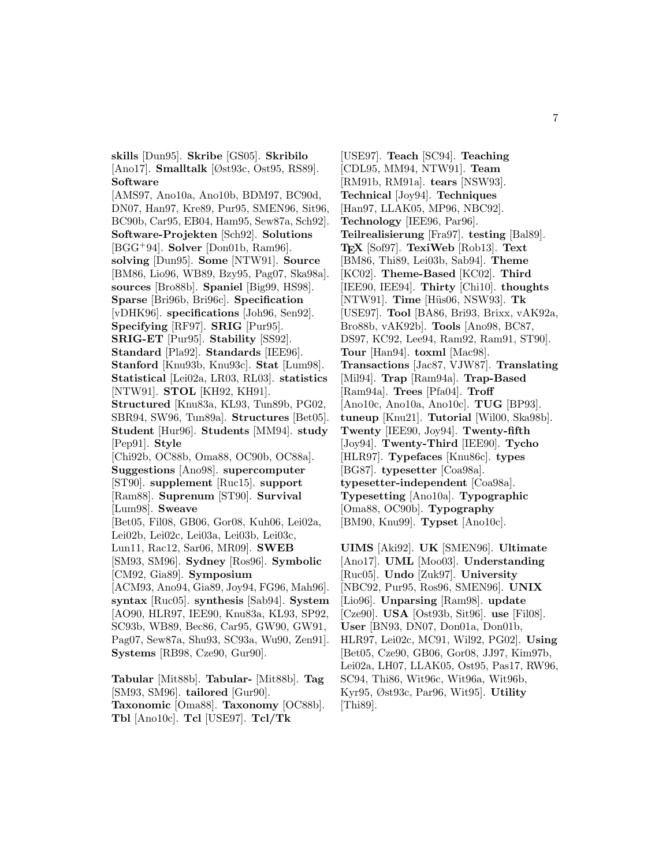**skills** [Dun95]. **Skribe** [GS05]. **Skribilo** [Ano17]. **Smalltalk** [Øst93c, Ost95, RS89]. **Software**

[AMS97, Ano10a, Ano10b, BDM97, BC90d, DN07, Han97, Kre89, Pur95, SMEN96, Sit96, BC90b, Car95, EB04, Ham95, Sew87a, Sch92]. **Software-Projekten** [Sch92]. **Solutions** [BGG<sup>+</sup>94]. **Solver** [Don01b, Ram96]. **solving** [Dun95]. **Some** [NTW91]. **Source** [BM86, Lio96, WB89, Bzy95, Pag07, Ska98a]. **sources** [Bro88b]. **Spaniel** [Big99, HS98]. **Sparse** [Bri96b, Bri96c]. **Specification** [vDHK96]. **specifications** [Joh96, Sen92]. **Specifying** [RF97]. **SRIG** [Pur95]. **SRIG-ET** [Pur95]. **Stability** [SS92]. **Standard** [Pla92]. **Standards** [IEE96]. **Stanford** [Knu93b, Knu93c]. **Stat** [Lum98]. **Statistical** [Lei02a, LR03, RL03]. **statistics** [NTW91]. **STOL** [KH92, KH91]. **Structured** [Knu83a, KL93, Tun89b, PG02, SBR94, SW96, Tun89a]. **Structures** [Bet05]. **Student** [Hur96]. **Students** [MM94]. **study** [Pep91]. **Style** [Chi92b, OC88b, Oma88, OC90b, OC88a]. **Suggestions** [Ano98]. **supercomputer** [ST90]. **supplement** [Ruc15]. **support** [Ram88]. **Suprenum** [ST90]. **Survival** [Lum98]. **Sweave** [Bet05, Fil08, GB06, Gor08, Kuh06, Lei02a, Lei02b, Lei02c, Lei03a, Lei03b, Lei03c, Lun11, Rac12, Sar06, MR09]. **SWEB** [SM93, SM96]. **Sydney** [Ros96]. **Symbolic** [CM92, Gia89]. **Symposium** [ACM93, Ano94, Gia89, Joy94, FG96, Mah96]. **syntax** [Ruc05]. **synthesis** [Sab94]. **System** [AO90, HLR97, IEE90, Knu83a, KL93, SP92, SC93b, WB89, Bec86, Car95, GW90, GW91, Pag07, Sew87a, Shu93, SC93a, Wu90, Zen91]. **Systems** [RB98, Cze90, Gur90]. **Tabular** [Mit88b]. **Tabular-** [Mit88b]. **Tag** [SM93, SM96]. **tailored** [Gur90].

**Taxonomic** [Oma88]. **Taxonomy** [OC88b]. **Tbl** [Ano10c]. **Tcl** [USE97]. **Tcl/Tk**

[USE97]. **Teach** [SC94]. **Teaching** [CDL95, MM94, NTW91]. **Team** [RM91b, RM91a]. **tears** [NSW93]. **Technical** [Joy94]. **Techniques** [Han97, LLAK05, MP96, NBC92]. **Technology** [IEE96, Par96]. **Teilrealisierung** [Fra97]. **testing** [Bal89]. **TEX** [Sof97]. **TexiWeb** [Rob13]. **Text** [BM86, Thi89, Lei03b, Sab94]. **Theme** [KC02]. **Theme-Based** [KC02]. **Third** [IEE90, IEE94]. **Thirty** [Chi10]. **thoughts** [NTW91]. **Time** [H¨us06, NSW93]. **Tk** [USE97]. **Tool** [BA86, Bri93, Brixx, vAK92a, Bro88b, vAK92b]. **Tools** [Ano98, BC87, DS97, KC92, Lee94, Ram92, Ram91, ST90]. **Tour** [Han94]. **toxml** [Mac98]. **Transactions** [Jac87, VJW87]. **Translating** [Mil94]. **Trap** [Ram94a]. **Trap-Based** [Ram94a]. **Trees** [Pfa04]. **Troff** [Ano10c, Ano10a, Ano10c]. **TUG** [BP93]. **tuneup** [Knu21]. **Tutorial** [Wil00, Ska98b]. **Twenty** [IEE90, Joy94]. **Twenty-fifth** [Joy94]. **Twenty-Third** [IEE90]. **Tycho** [HLR97]. **Typefaces** [Knu86c]. **types** [BG87]. **typesetter** [Coa98a]. **typesetter-independent** [Coa98a]. **Typesetting** [Ano10a]. **Typographic** [Oma88, OC90b]. **Typography** [BM90, Knu99]. **Typset** [Ano10c].

**UIMS** [Aki92]. **UK** [SMEN96]. **Ultimate** [Ano17]. **UML** [Moo03]. **Understanding** [Ruc05]. **Undo** [Zuk97]. **University** [NBC92, Pur95, Ros96, SMEN96]. **UNIX** [Lio96]. **Unparsing** [Ram98]. **update** [Cze90]. **USA** [Ost93b, Sit96]. **use** [Fil08]. **User** [BN93, DN07, Don01a, Don01b, HLR97, Lei02c, MC91, Wil92, PG02]. **Using** [Bet05, Cze90, GB06, Gor08, JJ97, Kim97b, Lei02a, LH07, LLAK05, Ost95, Pas17, RW96, SC94, Thi86, Wit96c, Wit96a, Wit96b, Kyr95, Øst93c, Par96, Wit95]. **Utility** [Thi89].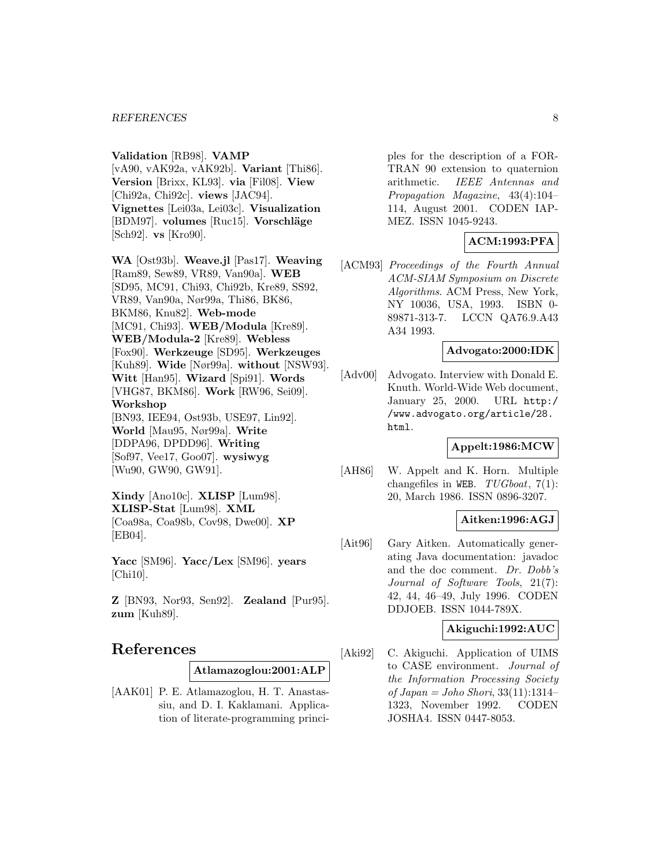#### **Validation** [RB98]. **VAMP**

[vA90, vAK92a, vAK92b]. **Variant** [Thi86]. **Version** [Brixx, KL93]. **via** [Fil08]. **View** [Chi92a, Chi92c]. **views** [JAC94]. **Vignettes** [Lei03a, Lei03c]. **Visualization** [BDM97]. **volumes** [Ruc15]. **Vorschläge** [Sch92]. **vs** [Kro90].

**WA** [Ost93b]. **Weave.jl** [Pas17]. **Weaving** [Ram89, Sew89, VR89, Van90a]. **WEB** [SD95, MC91, Chi93, Chi92b, Kre89, SS92, VR89, Van90a, Nør99a, Thi86, BK86, BKM86, Knu82]. **Web-mode** [MC91, Chi93]. **WEB/Modula** [Kre89]. **WEB/Modula-2** [Kre89]. **Webless** [Fox90]. **Werkzeuge** [SD95]. **Werkzeuges** [Kuh89]. **Wide** [Nør99a]. **without** [NSW93]. **Witt** [Han95]. **Wizard** [Spi91]. **Words** [VHG87, BKM86]. **Work** [RW96, Sei09]. **Workshop** [BN93, IEE94, Ost93b, USE97, Lin92]. **World** [Mau95, Nør99a]. **Write** [DDPA96, DPDD96]. **Writing** [Sof97, Vee17, Goo07]. **wysiwyg** [Wu90, GW90, GW91].

**Xindy** [Ano10c]. **XLISP** [Lum98]. **XLISP-Stat** [Lum98]. **XML** [Coa98a, Coa98b, Cov98, Dwe00]. **XP** [EB04].

**Yacc** [SM96]. **Yacc/Lex** [SM96]. **years** [Chi10].

**Z** [BN93, Nor93, Sen92]. **Zealand** [Pur95]. **zum** [Kuh89].

## **References**

**Atlamazoglou:2001:ALP**

[AAK01] P. E. Atlamazoglou, H. T. Anastassiu, and D. I. Kaklamani. Application of literate-programming princi-

ples for the description of a FOR-TRAN 90 extension to quaternion arithmetic. IEEE Antennas and Propagation Magazine, 43(4):104– 114, August 2001. CODEN IAP-MEZ. ISSN 1045-9243.

## **ACM:1993:PFA**

[ACM93] Proceedings of the Fourth Annual ACM-SIAM Symposium on Discrete Algorithms. ACM Press, New York, NY 10036, USA, 1993. ISBN 0- 89871-313-7. LCCN QA76.9.A43 A34 1993.

#### **Advogato:2000:IDK**

[Adv00] Advogato. Interview with Donald E. Knuth. World-Wide Web document, January 25, 2000. URL http:/ /www.advogato.org/article/28. html.

#### **Appelt:1986:MCW**

[AH86] W. Appelt and K. Horn. Multiple changefiles in WEB.  $TUGboat$ , 7(1): 20, March 1986. ISSN 0896-3207.

#### **Aitken:1996:AGJ**

[Ait96] Gary Aitken. Automatically generating Java documentation: javadoc and the doc comment. Dr. Dobb's Journal of Software Tools, 21(7): 42, 44, 46–49, July 1996. CODEN DDJOEB. ISSN 1044-789X.

#### **Akiguchi:1992:AUC**

[Aki92] C. Akiguchi. Application of UIMS to CASE environment. Journal of the Information Processing Society of Japan = Joho Shori, 33(11):1314– 1323, November 1992. CODEN JOSHA4. ISSN 0447-8053.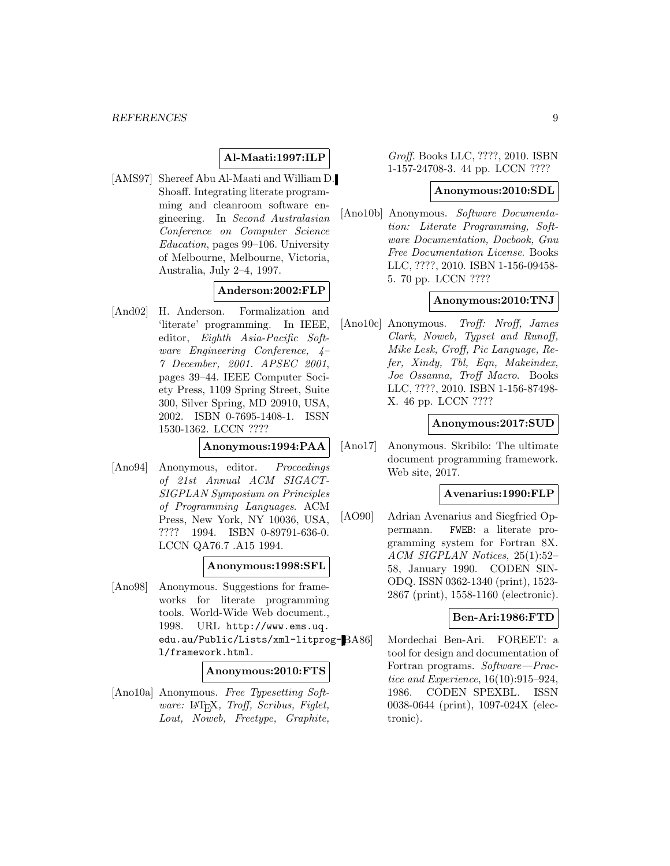## **Al-Maati:1997:ILP**

[AMS97] Shereef Abu Al-Maati and William D. Shoaff. Integrating literate programming and cleanroom software engineering. In Second Australasian Conference on Computer Science Education, pages 99–106. University of Melbourne, Melbourne, Victoria, Australia, July 2–4, 1997.

## **Anderson:2002:FLP**

[And02] H. Anderson. Formalization and 'literate' programming. In IEEE, editor, Eighth Asia-Pacific Software Engineering Conference, 4– 7 December, 2001. APSEC 2001, pages 39–44. IEEE Computer Society Press, 1109 Spring Street, Suite 300, Silver Spring, MD 20910, USA, 2002. ISBN 0-7695-1408-1. ISSN 1530-1362. LCCN ????

#### **Anonymous:1994:PAA**

[Ano94] Anonymous, editor. Proceedings of 21st Annual ACM SIGACT-SIGPLAN Symposium on Principles of Programming Languages. ACM Press, New York, NY 10036, USA, ???? 1994. ISBN 0-89791-636-0. LCCN QA76.7 .A15 1994.

#### **Anonymous:1998:SFL**

[Ano98] Anonymous. Suggestions for frameworks for literate programming tools. World-Wide Web document., 1998. URL http://www.ems.uq. edu.au/Public/Lists/xml-litprogl/framework.html.

#### **Anonymous:2010:FTS**

[Ano10a] Anonymous. Free Typesetting Software: LAT<sub>E</sub>X, Troff, Scribus, Figlet, Lout, Noweb, Freetype, Graphite,

Groff. Books LLC, ????, 2010. ISBN 1-157-24708-3. 44 pp. LCCN ????

#### **Anonymous:2010:SDL**

[Ano10b] Anonymous. Software Documentation: Literate Programming, Software Documentation, Docbook, Gnu Free Documentation License. Books LLC, ????, 2010. ISBN 1-156-09458- 5. 70 pp. LCCN ????

### **Anonymous:2010:TNJ**

[Ano10c] Anonymous. Troff: Nroff, James Clark, Noweb, Typset and Runoff, Mike Lesk, Groff, Pic Language, Refer, Xindy, Tbl, Eqn, Makeindex, Joe Ossanna, Troff Macro. Books LLC, ????, 2010. ISBN 1-156-87498- X. 46 pp. LCCN ????

#### **Anonymous:2017:SUD**

[Ano17] Anonymous. Skribilo: The ultimate document programming framework. Web site, 2017.

#### **Avenarius:1990:FLP**

[AO90] Adrian Avenarius and Siegfried Oppermann. FWEB: a literate programming system for Fortran 8X. ACM SIGPLAN Notices, 25(1):52– 58, January 1990. CODEN SIN-ODQ. ISSN 0362-1340 (print), 1523- 2867 (print), 1558-1160 (electronic).

#### **Ben-Ari:1986:FTD**

Mordechai Ben-Ari. FOREET: a tool for design and documentation of Fortran programs. Software—Practice and Experience, 16(10):915–924, 1986. CODEN SPEXBL. ISSN 0038-0644 (print), 1097-024X (electronic).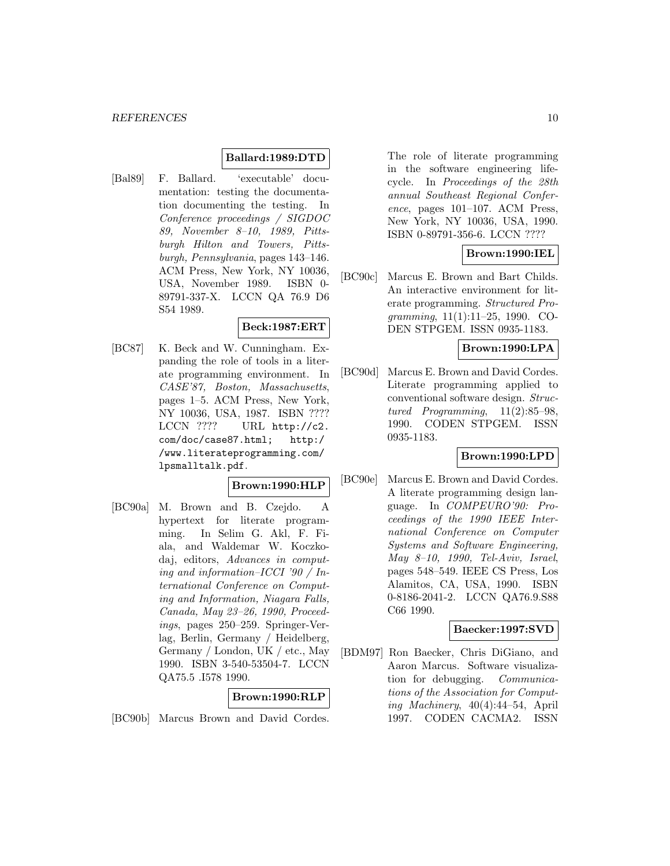#### **Ballard:1989:DTD**

[Bal89] F. Ballard. 'executable' documentation: testing the documentation documenting the testing. In Conference proceedings / SIGDOC 89, November 8–10, 1989, Pittsburgh Hilton and Towers, Pittsburgh, Pennsylvania, pages 143–146. ACM Press, New York, NY 10036, USA, November 1989. ISBN 0- 89791-337-X. LCCN QA 76.9 D6 S54 1989.

### **Beck:1987:ERT**

[BC87] K. Beck and W. Cunningham. Expanding the role of tools in a literate programming environment. In CASE'87, Boston, Massachusetts, pages 1–5. ACM Press, New York, NY 10036, USA, 1987. ISBN ???? LCCN ???? URL http://c2. com/doc/case87.html; http:/ /www.literateprogramming.com/ lpsmalltalk.pdf.

### **Brown:1990:HLP**

[BC90a] M. Brown and B. Czejdo. A hypertext for literate programming. In Selim G. Akl, F. Fiala, and Waldemar W. Koczkodaj, editors, Advances in computing and information–ICCI '90 / International Conference on Computing and Information, Niagara Falls, Canada, May 23–26, 1990, Proceedings, pages 250–259. Springer-Verlag, Berlin, Germany / Heidelberg, Germany / London, UK / etc., May 1990. ISBN 3-540-53504-7. LCCN QA75.5 .I578 1990.

#### **Brown:1990:RLP**

[BC90b] Marcus Brown and David Cordes.

The role of literate programming in the software engineering lifecycle. In Proceedings of the 28th annual Southeast Regional Conference, pages 101–107. ACM Press, New York, NY 10036, USA, 1990. ISBN 0-89791-356-6. LCCN ????

## **Brown:1990:IEL**

[BC90c] Marcus E. Brown and Bart Childs. An interactive environment for literate programming. Structured Programming, 11(1):11–25, 1990. CO-DEN STPGEM. ISSN 0935-1183.

### **Brown:1990:LPA**

[BC90d] Marcus E. Brown and David Cordes. Literate programming applied to conventional software design. Structured Programming, 11(2):85–98, 1990. CODEN STPGEM. ISSN 0935-1183.

## **Brown:1990:LPD**

[BC90e] Marcus E. Brown and David Cordes. A literate programming design language. In COMPEURO'90: Proceedings of the 1990 IEEE International Conference on Computer Systems and Software Engineering, May 8–10, 1990, Tel-Aviv, Israel, pages 548–549. IEEE CS Press, Los Alamitos, CA, USA, 1990. ISBN 0-8186-2041-2. LCCN QA76.9.S88 C66 1990.

#### **Baecker:1997:SVD**

[BDM97] Ron Baecker, Chris DiGiano, and Aaron Marcus. Software visualization for debugging. Communications of the Association for Computing Machinery, 40(4):44–54, April 1997. CODEN CACMA2. ISSN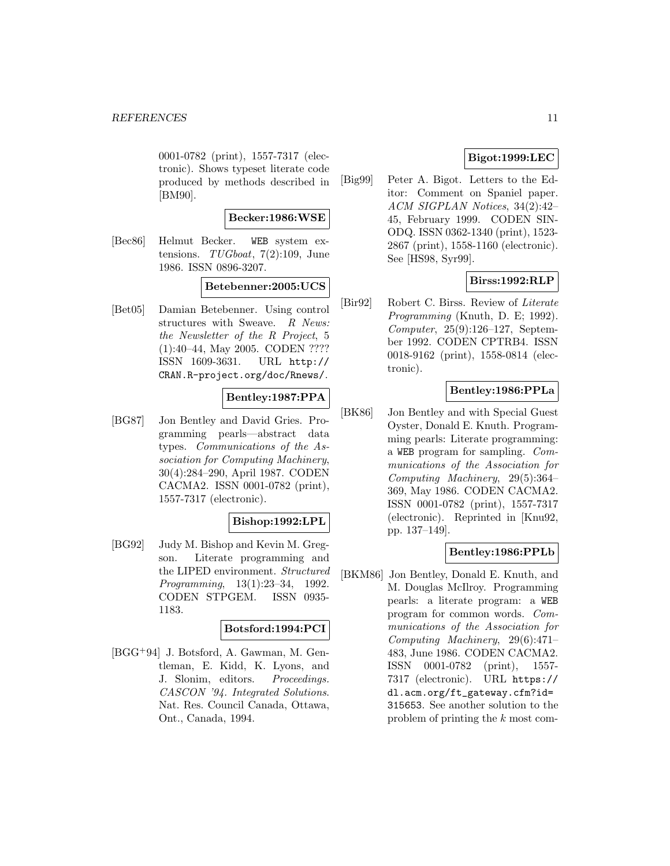0001-0782 (print), 1557-7317 (electronic). Shows typeset literate code produced by methods described in [BM90].

#### **Becker:1986:WSE**

[Bec86] Helmut Becker. WEB system extensions.  $TUGboat$ ,  $7(2):109$ , June 1986. ISSN 0896-3207.

### **Betebenner:2005:UCS**

[Bet05] Damian Betebenner. Using control structures with Sweave. R News: the Newsletter of the R Project, 5 (1):40–44, May 2005. CODEN ???? ISSN 1609-3631. URL http:// CRAN.R-project.org/doc/Rnews/.

## **Bentley:1987:PPA**

[BG87] Jon Bentley and David Gries. Programming pearls—abstract data types. Communications of the Association for Computing Machinery, 30(4):284–290, April 1987. CODEN CACMA2. ISSN 0001-0782 (print), 1557-7317 (electronic).

### **Bishop:1992:LPL**

[BG92] Judy M. Bishop and Kevin M. Gregson. Literate programming and the LIPED environment. Structured Programming, 13(1):23–34, 1992. CODEN STPGEM. ISSN 0935- 1183.

#### **Botsford:1994:PCI**

[BGG<sup>+</sup>94] J. Botsford, A. Gawman, M. Gentleman, E. Kidd, K. Lyons, and J. Slonim, editors. Proceedings. CASCON '94. Integrated Solutions. Nat. Res. Council Canada, Ottawa, Ont., Canada, 1994.

## **Bigot:1999:LEC**

[Big99] Peter A. Bigot. Letters to the Editor: Comment on Spaniel paper. ACM SIGPLAN Notices, 34(2):42– 45, February 1999. CODEN SIN-ODQ. ISSN 0362-1340 (print), 1523- 2867 (print), 1558-1160 (electronic). See [HS98, Syr99].

## **Birss:1992:RLP**

[Bir92] Robert C. Birss. Review of Literate Programming (Knuth, D. E; 1992). Computer, 25(9):126–127, September 1992. CODEN CPTRB4. ISSN 0018-9162 (print), 1558-0814 (electronic).

## **Bentley:1986:PPLa**

[BK86] Jon Bentley and with Special Guest Oyster, Donald E. Knuth. Programming pearls: Literate programming: a WEB program for sampling. Communications of the Association for Computing Machinery, 29(5):364– 369, May 1986. CODEN CACMA2. ISSN 0001-0782 (print), 1557-7317 (electronic). Reprinted in [Knu92, pp. 137–149].

### **Bentley:1986:PPLb**

[BKM86] Jon Bentley, Donald E. Knuth, and M. Douglas McIlroy. Programming pearls: a literate program: a WEB program for common words. Communications of the Association for Computing Machinery, 29(6):471– 483, June 1986. CODEN CACMA2. ISSN 0001-0782 (print), 1557- 7317 (electronic). URL https:// dl.acm.org/ft\_gateway.cfm?id= 315653. See another solution to the problem of printing the k most com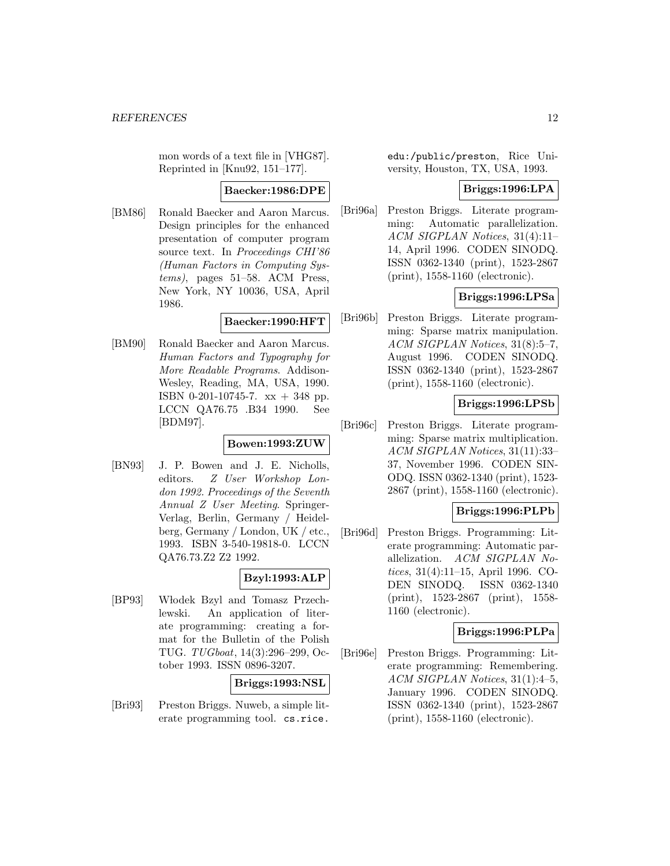mon words of a text file in [VHG87]. Reprinted in [Knu92, 151–177].

#### **Baecker:1986:DPE**

[BM86] Ronald Baecker and Aaron Marcus. Design principles for the enhanced presentation of computer program source text. In Proceedings CHI'86 (Human Factors in Computing Systems), pages 51–58. ACM Press, New York, NY 10036, USA, April 1986.

#### **Baecker:1990:HFT**

[BM90] Ronald Baecker and Aaron Marcus. Human Factors and Typography for More Readable Programs. Addison-Wesley, Reading, MA, USA, 1990. ISBN 0-201-10745-7. xx + 348 pp. LCCN QA76.75 .B34 1990. See [BDM97].

## **Bowen:1993:ZUW**

[BN93] J. P. Bowen and J. E. Nicholls, editors. Z User Workshop London 1992. Proceedings of the Seventh Annual Z User Meeting. Springer-Verlag, Berlin, Germany / Heidelberg, Germany / London, UK / etc., 1993. ISBN 3-540-19818-0. LCCN QA76.73.Z2 Z2 1992.

### **Bzyl:1993:ALP**

[BP93] W lodek Bzyl and Tomasz Przechlewski. An application of literate programming: creating a format for the Bulletin of the Polish TUG. TUGboat, 14(3):296–299, October 1993. ISSN 0896-3207.

**Briggs:1993:NSL**

[Bri93] Preston Briggs. Nuweb, a simple literate programming tool. cs.rice.

edu:/public/preston, Rice University, Houston, TX, USA, 1993.

#### **Briggs:1996:LPA**

[Bri96a] Preston Briggs. Literate programming: Automatic parallelization. ACM SIGPLAN Notices, 31(4):11– 14, April 1996. CODEN SINODQ. ISSN 0362-1340 (print), 1523-2867 (print), 1558-1160 (electronic).

### **Briggs:1996:LPSa**

[Bri96b] Preston Briggs. Literate programming: Sparse matrix manipulation. ACM SIGPLAN Notices, 31(8):5–7, August 1996. CODEN SINODQ. ISSN 0362-1340 (print), 1523-2867 (print), 1558-1160 (electronic).

### **Briggs:1996:LPSb**

[Bri96c] Preston Briggs. Literate programming: Sparse matrix multiplication. ACM SIGPLAN Notices, 31(11):33– 37, November 1996. CODEN SIN-ODQ. ISSN 0362-1340 (print), 1523- 2867 (print), 1558-1160 (electronic).

## **Briggs:1996:PLPb**

[Bri96d] Preston Briggs. Programming: Literate programming: Automatic parallelization. ACM SIGPLAN Notices, 31(4):11–15, April 1996. CO-DEN SINODQ. ISSN 0362-1340 (print), 1523-2867 (print), 1558- 1160 (electronic).

### **Briggs:1996:PLPa**

[Bri96e] Preston Briggs. Programming: Literate programming: Remembering. ACM SIGPLAN Notices, 31(1):4–5, January 1996. CODEN SINODQ. ISSN 0362-1340 (print), 1523-2867 (print), 1558-1160 (electronic).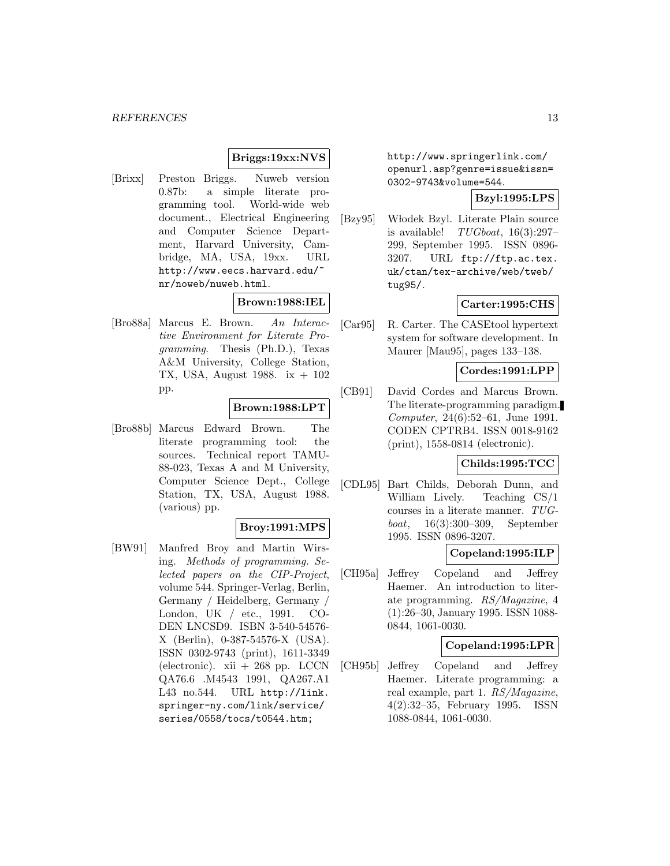### **Briggs:19xx:NVS**

[Brixx] Preston Briggs. Nuweb version 0.87b: a simple literate programming tool. World-wide web document., Electrical Engineering and Computer Science Department, Harvard University, Cambridge, MA, USA, 19xx. URL http://www.eecs.harvard.edu/~ nr/noweb/nuweb.html.

### **Brown:1988:IEL**

[Bro88a] Marcus E. Brown. An Interactive Environment for Literate Programming. Thesis (Ph.D.), Texas A&M University, College Station, TX, USA, August 1988. ix + 102 pp.

### **Brown:1988:LPT**

[Bro88b] Marcus Edward Brown. The literate programming tool: the sources. Technical report TAMU-88-023, Texas A and M University, Computer Science Dept., College Station, TX, USA, August 1988. (various) pp.

#### **Broy:1991:MPS**

[BW91] Manfred Broy and Martin Wirsing. Methods of programming. Selected papers on the CIP-Project, volume 544. Springer-Verlag, Berlin, Germany / Heidelberg, Germany / London, UK / etc., 1991. CO-DEN LNCSD9. ISBN 3-540-54576- X (Berlin), 0-387-54576-X (USA). ISSN 0302-9743 (print), 1611-3349 (electronic).  $xii + 268$  pp. LCCN QA76.6 .M4543 1991, QA267.A1 L43 no.544. URL http://link. springer-ny.com/link/service/ series/0558/tocs/t0544.htm;

http://www.springerlink.com/ openurl.asp?genre=issue&issn= 0302-9743&volume=544.

## **Bzyl:1995:LPS**

[Bzy95] Włodek Bzyl. Literate Plain source is available!  $TUGboat$ ,  $16(3):297-$ 299, September 1995. ISSN 0896- 3207. URL ftp://ftp.ac.tex. uk/ctan/tex-archive/web/tweb/ tug95/.

### **Carter:1995:CHS**

[Car95] R. Carter. The CASEtool hypertext system for software development. In Maurer [Mau95], pages 133–138.

#### **Cordes:1991:LPP**

[CB91] David Cordes and Marcus Brown. The literate-programming paradigm. Computer, 24(6):52–61, June 1991. CODEN CPTRB4. ISSN 0018-9162 (print), 1558-0814 (electronic).

### **Childs:1995:TCC**

[CDL95] Bart Childs, Deborah Dunn, and William Lively. Teaching CS/1 courses in a literate manner. TUGboat, 16(3):300–309, September 1995. ISSN 0896-3207.

#### **Copeland:1995:ILP**

[CH95a] Jeffrey Copeland and Jeffrey Haemer. An introduction to literate programming. RS/Magazine, 4 (1):26–30, January 1995. ISSN 1088- 0844, 1061-0030.

#### **Copeland:1995:LPR**

[CH95b] Jeffrey Copeland and Jeffrey Haemer. Literate programming: a real example, part 1. RS/Magazine, 4(2):32–35, February 1995. ISSN 1088-0844, 1061-0030.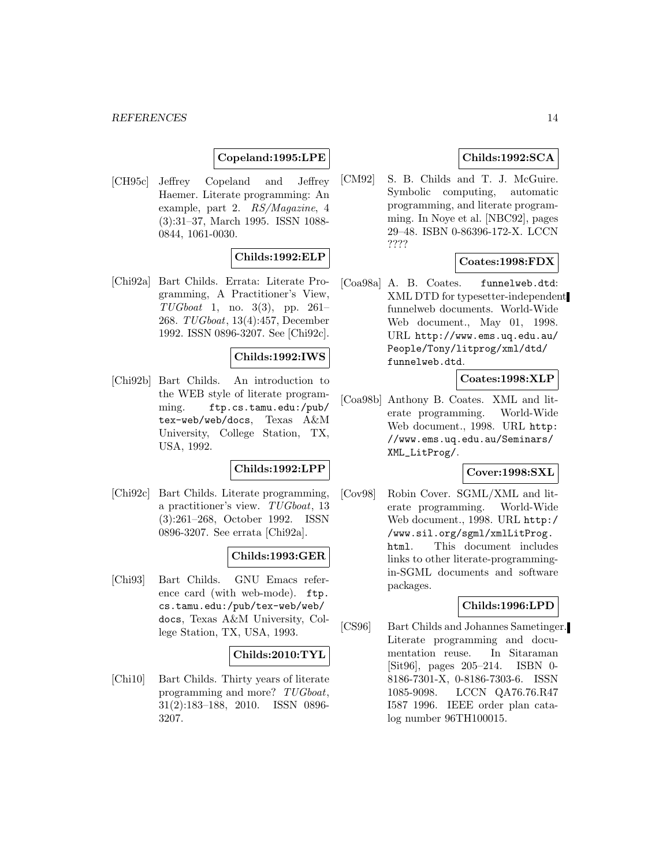### **Copeland:1995:LPE**

[CH95c] Jeffrey Copeland and Jeffrey Haemer. Literate programming: An example, part 2. RS/Magazine, 4 (3):31–37, March 1995. ISSN 1088- 0844, 1061-0030.

## **Childs:1992:ELP**

[Chi92a] Bart Childs. Errata: Literate Programming, A Practitioner's View,  $TUGboat \quad 1, \quad \text{no. } 3(3), \quad \text{pp. } 261-$ 268. TUGboat, 13(4):457, December 1992. ISSN 0896-3207. See [Chi92c].

#### **Childs:1992:IWS**

[Chi92b] Bart Childs. An introduction to the WEB style of literate programming. ftp.cs.tamu.edu:/pub/ tex-web/web/docs, Texas A&M University, College Station, TX, USA, 1992.

#### **Childs:1992:LPP**

[Chi92c] Bart Childs. Literate programming, a practitioner's view. TUGboat, 13 (3):261–268, October 1992. ISSN 0896-3207. See errata [Chi92a].

### **Childs:1993:GER**

[Chi93] Bart Childs. GNU Emacs reference card (with web-mode). ftp. cs.tamu.edu:/pub/tex-web/web/ docs, Texas A&M University, College Station, TX, USA, 1993.

#### **Childs:2010:TYL**

[Chi10] Bart Childs. Thirty years of literate programming and more? TUGboat, 31(2):183–188, 2010. ISSN 0896- 3207.

### **Childs:1992:SCA**

[CM92] S. B. Childs and T. J. McGuire. Symbolic computing, automatic programming, and literate programming. In Noye et al. [NBC92], pages 29–48. ISBN 0-86396-172-X. LCCN ????

### **Coates:1998:FDX**

[Coa98a] A. B. Coates. funnelweb.dtd: XML DTD for typesetter-independent funnelweb documents. World-Wide Web document., May 01, 1998. URL http://www.ems.uq.edu.au/ People/Tony/litprog/xml/dtd/ funnelweb.dtd.

### **Coates:1998:XLP**

[Coa98b] Anthony B. Coates. XML and literate programming. World-Wide Web document., 1998. URL http: //www.ems.uq.edu.au/Seminars/ XML\_LitProg/.

#### **Cover:1998:SXL**

[Cov98] Robin Cover. SGML/XML and literate programming. World-Wide Web document., 1998. URL http:/ /www.sil.org/sgml/xmlLitProg. html. This document includes links to other literate-programmingin-SGML documents and software packages.

#### **Childs:1996:LPD**

[CS96] Bart Childs and Johannes Sametinger. Literate programming and documentation reuse. In Sitaraman [Sit96], pages 205–214. ISBN 0- 8186-7301-X, 0-8186-7303-6. ISSN 1085-9098. LCCN QA76.76.R47 I587 1996. IEEE order plan catalog number 96TH100015.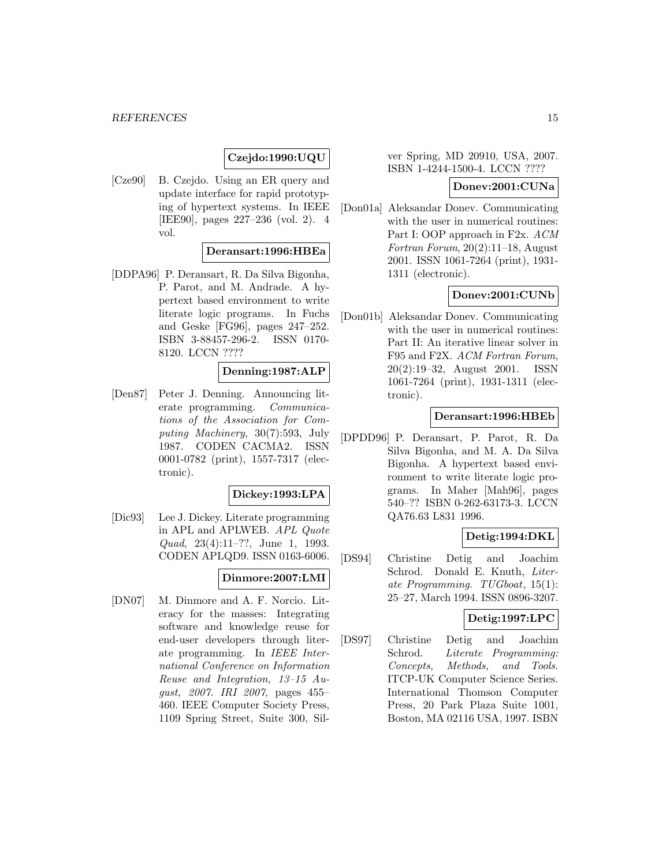## **Czejdo:1990:UQU**

[Cze90] B. Czejdo. Using an ER query and update interface for rapid prototyping of hypertext systems. In IEEE [IEE90], pages 227–236 (vol. 2). 4 vol.

#### **Deransart:1996:HBEa**

[DDPA96] P. Deransart, R. Da Silva Bigonha, P. Parot, and M. Andrade. A hypertext based environment to write literate logic programs. In Fuchs and Geske [FG96], pages 247–252. ISBN 3-88457-296-2. ISSN 0170- 8120. LCCN ????

#### **Denning:1987:ALP**

[Den87] Peter J. Denning. Announcing literate programming. Communications of the Association for Computing Machinery, 30(7):593, July 1987. CODEN CACMA2. ISSN 0001-0782 (print), 1557-7317 (electronic).

#### **Dickey:1993:LPA**

[Dic93] Lee J. Dickey. Literate programming in APL and APLWEB. APL Quote Quad, 23(4):11–??, June 1, 1993. CODEN APLQD9. ISSN 0163-6006.

## **Dinmore:2007:LMI**

[DN07] M. Dinmore and A. F. Norcio. Literacy for the masses: Integrating software and knowledge reuse for end-user developers through literate programming. In IEEE International Conference on Information Reuse and Integration, 13–15 August, 2007. IRI 2007, pages 455– 460. IEEE Computer Society Press, 1109 Spring Street, Suite 300, Sil-

ver Spring, MD 20910, USA, 2007. ISBN 1-4244-1500-4. LCCN ????

#### **Donev:2001:CUNa**

[Don01a] Aleksandar Donev. Communicating with the user in numerical routines: Part I: OOP approach in F2x. ACM Fortran Forum, 20(2):11–18, August 2001. ISSN 1061-7264 (print), 1931- 1311 (electronic).

#### **Donev:2001:CUNb**

[Don01b] Aleksandar Donev. Communicating with the user in numerical routines: Part II: An iterative linear solver in F95 and F2X. ACM Fortran Forum, 20(2):19–32, August 2001. ISSN 1061-7264 (print), 1931-1311 (electronic).

#### **Deransart:1996:HBEb**

[DPDD96] P. Deransart, P. Parot, R. Da Silva Bigonha, and M. A. Da Silva Bigonha. A hypertext based environment to write literate logic programs. In Maher [Mah96], pages 540–?? ISBN 0-262-63173-3. LCCN QA76.63 L831 1996.

#### **Detig:1994:DKL**

[DS94] Christine Detig and Joachim Schrod. Donald E. Knuth, Literate Programming. TUGboat, 15(1): 25–27, March 1994. ISSN 0896-3207.

#### **Detig:1997:LPC**

[DS97] Christine Detig and Joachim Schrod. Literate Programming: Concepts, Methods, and Tools. ITCP-UK Computer Science Series. International Thomson Computer Press, 20 Park Plaza Suite 1001, Boston, MA 02116 USA, 1997. ISBN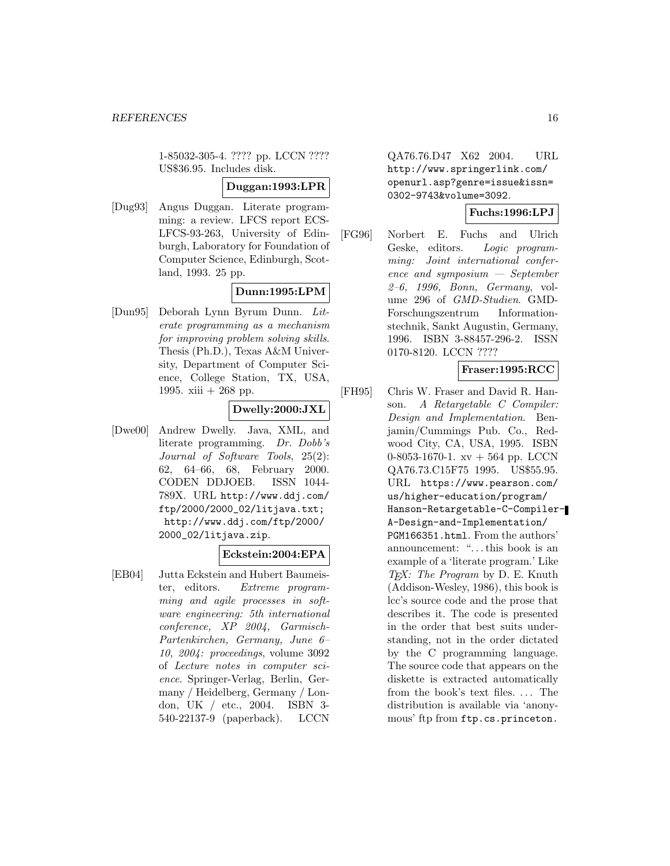1-85032-305-4. ???? pp. LCCN ???? US\$36.95. Includes disk.

#### **Duggan:1993:LPR**

[Dug93] Angus Duggan. Literate programming: a review. LFCS report ECS-LFCS-93-263, University of Edinburgh, Laboratory for Foundation of Computer Science, Edinburgh, Scotland, 1993. 25 pp.

## **Dunn:1995:LPM**

[Dun95] Deborah Lynn Byrum Dunn. Literate programming as a mechanism for improving problem solving skills. Thesis (Ph.D.), Texas A&M University, Department of Computer Science, College Station, TX, USA, 1995. xiii + 268 pp.

### **Dwelly:2000:JXL**

[Dwe00] Andrew Dwelly. Java, XML, and literate programming. Dr. Dobb's Journal of Software Tools, 25(2): 62, 64–66, 68, February 2000. CODEN DDJOEB. ISSN 1044- 789X. URL http://www.ddj.com/ ftp/2000/2000\_02/litjava.txt; http://www.ddj.com/ftp/2000/ 2000\_02/litjava.zip.

### **Eckstein:2004:EPA**

[EB04] Jutta Eckstein and Hubert Baumeister, editors. Extreme programming and agile processes in software engineering: 5th international conference, XP 2004, Garmisch-Partenkirchen, Germany, June 6– 10, 2004: proceedings, volume 3092 of Lecture notes in computer science. Springer-Verlag, Berlin, Germany / Heidelberg, Germany / London, UK / etc., 2004. ISBN 3- 540-22137-9 (paperback). LCCN

QA76.76.D47 X62 2004. URL http://www.springerlink.com/ openurl.asp?genre=issue&issn= 0302-9743&volume=3092.

### **Fuchs:1996:LPJ**

[FG96] Norbert E. Fuchs and Ulrich Geske, editors. Logic programming: Joint international conference and symposium — September 2–6, 1996, Bonn, Germany, volume 296 of GMD-Studien. GMD-Forschungszentrum Informationstechnik, Sankt Augustin, Germany, 1996. ISBN 3-88457-296-2. ISSN 0170-8120. LCCN ????

#### **Fraser:1995:RCC**

[FH95] Chris W. Fraser and David R. Hanson. A Retargetable C Compiler: Design and Implementation. Benjamin/Cummings Pub. Co., Redwood City, CA, USA, 1995. ISBN 0-8053-1670-1. xv + 564 pp. LCCN QA76.73.C15F75 1995. US\$55.95. URL https://www.pearson.com/ us/higher-education/program/ Hanson-Retargetable-C-Compiler-A-Design-and-Implementation/ PGM166351.html. From the authors' announcement: "...this book is an example of a 'literate program.' Like  $TEX: The Program by D. E. Knuth$ (Addison-Wesley, 1986), this book is lcc's source code and the prose that describes it. The code is presented in the order that best suits understanding, not in the order dictated by the C programming language. The source code that appears on the diskette is extracted automatically from the book's text files. ... The distribution is available via 'anonymous' ftp from ftp.cs.princeton.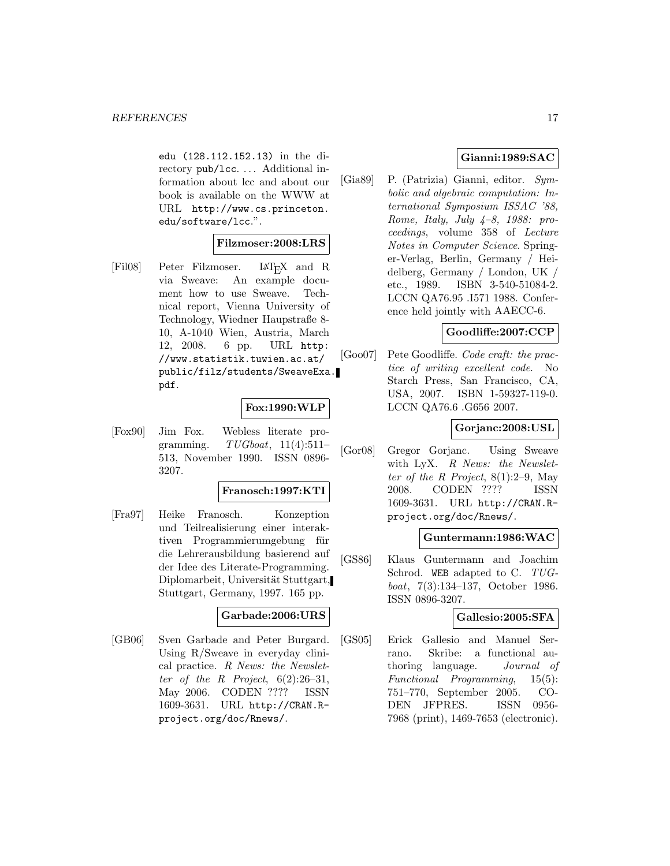edu (128.112.152.13) in the directory pub/lcc. ... Additional information about lcc and about our book is available on the WWW at URL http://www.cs.princeton. edu/software/lcc.".

#### **Filzmoser:2008:LRS**

[Fil08] Peter Filzmoser. L<sup>AT</sup>EX and R via Sweave: An example docu-An example document how to use Sweave. Technical report, Vienna University of Technology, Wiedner Haupstraße 8- 10, A-1040 Wien, Austria, March 12, 2008. 6 pp. URL http: //www.statistik.tuwien.ac.at/ public/filz/students/SweaveExa. pdf.

#### **Fox:1990:WLP**

[Fox90] Jim Fox. Webless literate programming.  $TUGboat$ ,  $11(4):511-$ 513, November 1990. ISSN 0896- 3207.

#### **Franosch:1997:KTI**

[Fra97] Heike Franosch. Konzeption und Teilrealisierung einer interaktiven Programmierumgebung für die Lehrerausbildung basierend auf der Idee des Literate-Programming. Diplomarbeit, Universität Stuttgart, Stuttgart, Germany, 1997. 165 pp.

#### **Garbade:2006:URS**

[GB06] Sven Garbade and Peter Burgard. Using R/Sweave in everyday clinical practice. R News: the Newsletter of the R Project,  $6(2):26-31$ , May 2006. CODEN ???? ISSN 1609-3631. URL http://CRAN.Rproject.org/doc/Rnews/.

### **Gianni:1989:SAC**

[Gia89] P. (Patrizia) Gianni, editor. Symbolic and algebraic computation: International Symposium ISSAC '88, Rome, Italy, July  $4-8$ , 1988: proceedings, volume 358 of Lecture Notes in Computer Science. Springer-Verlag, Berlin, Germany / Heidelberg, Germany / London, UK / etc., 1989. ISBN 3-540-51084-2. LCCN QA76.95 .I571 1988. Conference held jointly with AAECC-6.

#### **Goodliffe:2007:CCP**

[Goo07] Pete Goodliffe. Code craft: the practice of writing excellent code. No Starch Press, San Francisco, CA, USA, 2007. ISBN 1-59327-119-0. LCCN QA76.6 .G656 2007.

### **Gorjanc:2008:USL**

[Gor08] Gregor Gorjanc. Using Sweave with LyX. R News: the Newsletter of the R Project,  $8(1):2-9$ , May 2008. CODEN ???? ISSN 1609-3631. URL http://CRAN.Rproject.org/doc/Rnews/.

#### **Guntermann:1986:WAC**

[GS86] Klaus Guntermann and Joachim Schrod. WEB adapted to C. TUGboat, 7(3):134–137, October 1986. ISSN 0896-3207.

#### **Gallesio:2005:SFA**

[GS05] Erick Gallesio and Manuel Serrano. Skribe: a functional authoring language. Journal of Functional Programming, 15(5): 751–770, September 2005. CO-DEN JFPRES. ISSN 0956- 7968 (print), 1469-7653 (electronic).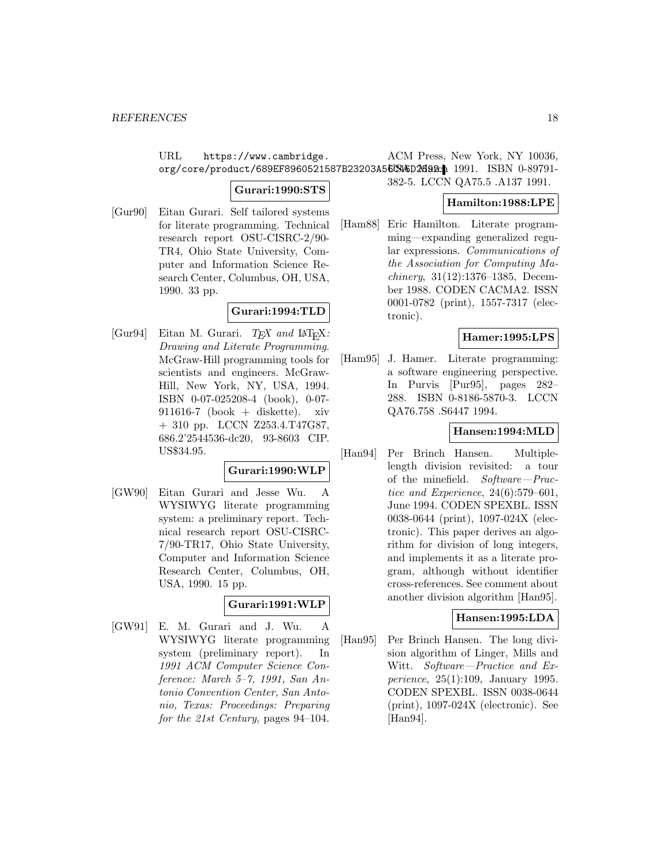URL https://www.cambridge. org/core/product/689EF8960521587B23203A56CH\$D20a2. 1991. ISBN 0-89791-ACM Press, New York, NY 10036,

### **Gurari:1990:STS**

[Gur90] Eitan Gurari. Self tailored systems for literate programming. Technical research report OSU-CISRC-2/90- TR4, Ohio State University, Computer and Information Science Research Center, Columbus, OH, USA, 1990. 33 pp.

## **Gurari:1994:TLD**

[Gur94] Eitan M. Gurari.  $T_F X$  and  $\text{IAT}_F X$ : Drawing and Literate Programming. McGraw-Hill programming tools for scientists and engineers. McGraw-Hill, New York, NY, USA, 1994. ISBN 0-07-025208-4 (book), 0-07-  $911616-7$  (book + diskette). xiv + 310 pp. LCCN Z253.4.T47G87, 686.2'2544536-dc20, 93-8603 CIP. US\$34.95.

#### **Gurari:1990:WLP**

[GW90] Eitan Gurari and Jesse Wu. A WYSIWYG literate programming system: a preliminary report. Technical research report OSU-CISRC-7/90-TR17, Ohio State University, Computer and Information Science Research Center, Columbus, OH, USA, 1990. 15 pp.

## **Gurari:1991:WLP**

[GW91] E. M. Gurari and J. Wu. A WYSIWYG literate programming system (preliminary report). In 1991 ACM Computer Science Conference: March 5–7, 1991, San Antonio Convention Center, San Antonio, Texas: Proceedings: Preparing for the 21st Century, pages 94–104.

382-5. LCCN QA75.5 .A137 1991.

## **Hamilton:1988:LPE**

[Ham88] Eric Hamilton. Literate programming—expanding generalized regular expressions. Communications of the Association for Computing Machinery, 31(12):1376–1385, December 1988. CODEN CACMA2. ISSN 0001-0782 (print), 1557-7317 (electronic).

## **Hamer:1995:LPS**

[Ham95] J. Hamer. Literate programming: a software engineering perspective. In Purvis [Pur95], pages 282– 288. ISBN 0-8186-5870-3. LCCN QA76.758 .S6447 1994.

## **Hansen:1994:MLD**

[Han94] Per Brinch Hansen. Multiplelength division revisited: a tour of the minefield. Software—Practice and Experience, 24(6):579–601, June 1994. CODEN SPEXBL. ISSN 0038-0644 (print), 1097-024X (electronic). This paper derives an algorithm for division of long integers, and implements it as a literate program, although without identifier cross-references. See comment about another division algorithm [Han95].

### **Hansen:1995:LDA**

[Han95] Per Brinch Hansen. The long division algorithm of Linger, Mills and Witt. Software—Practice and Experience, 25(1):109, January 1995. CODEN SPEXBL. ISSN 0038-0644 (print), 1097-024X (electronic). See [Han94].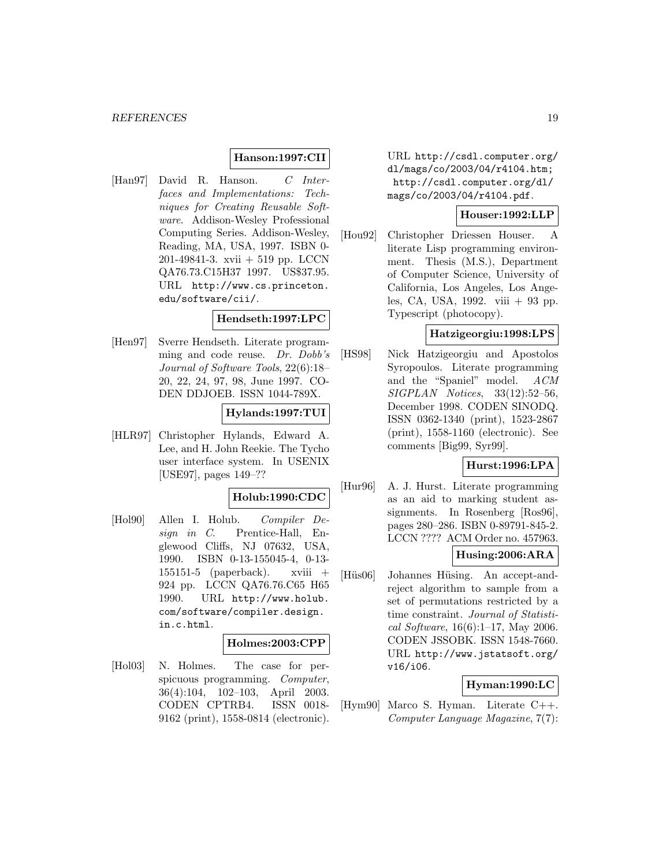### **Hanson:1997:CII**

[Han97] David R. Hanson. C Interfaces and Implementations: Techniques for Creating Reusable Software. Addison-Wesley Professional Computing Series. Addison-Wesley, Reading, MA, USA, 1997. ISBN 0- 201-49841-3. xvii + 519 pp. LCCN QA76.73.C15H37 1997. US\$37.95. URL http://www.cs.princeton. edu/software/cii/.

#### **Hendseth:1997:LPC**

[Hen97] Sverre Hendseth. Literate programming and code reuse. Dr. Dobb's Journal of Software Tools, 22(6):18– 20, 22, 24, 97, 98, June 1997. CO-DEN DDJOEB. ISSN 1044-789X.

#### **Hylands:1997:TUI**

[HLR97] Christopher Hylands, Edward A. Lee, and H. John Reekie. The Tycho user interface system. In USENIX [USE97], pages 149–??

### **Holub:1990:CDC**

[Hol90] Allen I. Holub. Compiler Design in C. Prentice-Hall, Englewood Cliffs, NJ 07632, USA, 1990. ISBN 0-13-155045-4, 0-13- 155151-5 (paperback). xviii  $+$ 924 pp. LCCN QA76.76.C65 H65 1990. URL http://www.holub. com/software/compiler.design. in.c.html.

#### **Holmes:2003:CPP**

[Hol03] N. Holmes. The case for perspicuous programming. Computer, 36(4):104, 102–103, April 2003. CODEN CPTRB4. ISSN 0018- 9162 (print), 1558-0814 (electronic).

URL http://csdl.computer.org/ dl/mags/co/2003/04/r4104.htm; http://csdl.computer.org/dl/ mags/co/2003/04/r4104.pdf.

### **Houser:1992:LLP**

[Hou92] Christopher Driessen Houser. A literate Lisp programming environment. Thesis (M.S.), Department of Computer Science, University of California, Los Angeles, Los Angeles, CA, USA, 1992. viii + 93 pp. Typescript (photocopy).

### **Hatzigeorgiu:1998:LPS**

[HS98] Nick Hatzigeorgiu and Apostolos Syropoulos. Literate programming and the "Spaniel" model. ACM SIGPLAN Notices, 33(12):52–56, December 1998. CODEN SINODQ. ISSN 0362-1340 (print), 1523-2867 (print), 1558-1160 (electronic). See comments [Big99, Syr99].

### **Hurst:1996:LPA**

[Hur96] A. J. Hurst. Literate programming as an aid to marking student assignments. In Rosenberg [Ros96], pages 280–286. ISBN 0-89791-845-2. LCCN ???? ACM Order no. 457963.

#### **Husing:2006:ARA**

[Hüs06] Johannes Hüsing. An accept-andreject algorithm to sample from a set of permutations restricted by a time constraint. Journal of Statistical Software, 16(6):1–17, May 2006. CODEN JSSOBK. ISSN 1548-7660. URL http://www.jstatsoft.org/ v16/i06.

## **Hyman:1990:LC**

[Hym90] Marco S. Hyman. Literate C++. Computer Language Magazine, 7(7):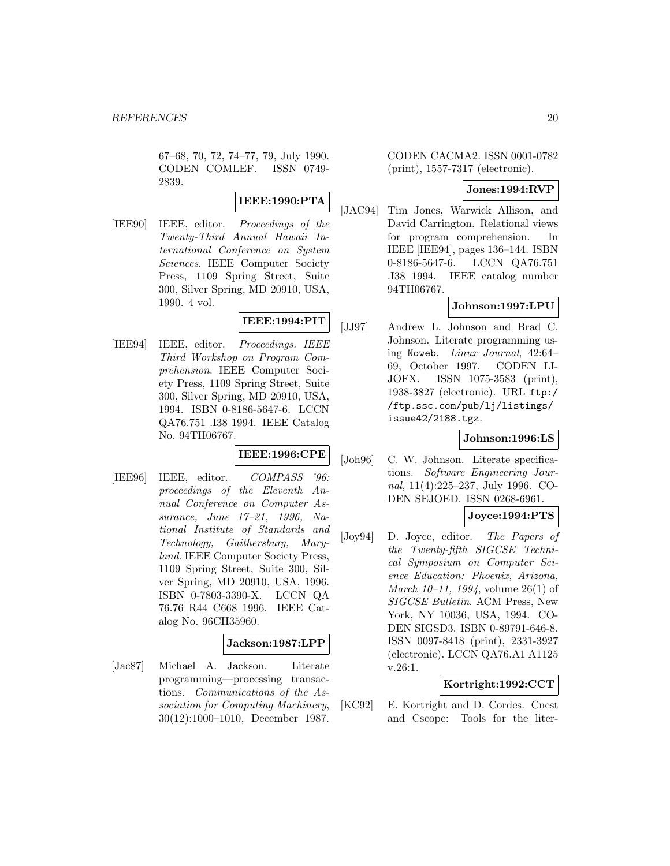67–68, 70, 72, 74–77, 79, July 1990. CODEN COMLEF. ISSN 0749- 2839.

## **IEEE:1990:PTA**

[IEE90] IEEE, editor. Proceedings of the Twenty-Third Annual Hawaii International Conference on System Sciences. IEEE Computer Society Press, 1109 Spring Street, Suite 300, Silver Spring, MD 20910, USA, 1990. 4 vol.

### **IEEE:1994:PIT**

[IEE94] IEEE, editor. Proceedings. IEEE Third Workshop on Program Comprehension. IEEE Computer Society Press, 1109 Spring Street, Suite 300, Silver Spring, MD 20910, USA, 1994. ISBN 0-8186-5647-6. LCCN QA76.751 .I38 1994. IEEE Catalog No. 94TH06767.

## **IEEE:1996:CPE**

[IEE96] IEEE, editor. COMPASS '96: proceedings of the Eleventh Annual Conference on Computer Assurance, June 17–21, 1996, National Institute of Standards and Technology, Gaithersburg, Maryland. IEEE Computer Society Press, 1109 Spring Street, Suite 300, Silver Spring, MD 20910, USA, 1996. ISBN 0-7803-3390-X. LCCN QA 76.76 R44 C668 1996. IEEE Catalog No. 96CH35960.

#### **Jackson:1987:LPP**

[Jac87] Michael A. Jackson. Literate programming—processing transactions. Communications of the Association for Computing Machinery, 30(12):1000–1010, December 1987.

CODEN CACMA2. ISSN 0001-0782 (print), 1557-7317 (electronic).

#### **Jones:1994:RVP**

[JAC94] Tim Jones, Warwick Allison, and David Carrington. Relational views for program comprehension. In IEEE [IEE94], pages 136–144. ISBN 0-8186-5647-6. LCCN QA76.751 .I38 1994. IEEE catalog number 94TH06767.

## **Johnson:1997:LPU**

[JJ97] Andrew L. Johnson and Brad C. Johnson. Literate programming using Noweb. Linux Journal, 42:64– 69, October 1997. CODEN LI-JOFX. ISSN 1075-3583 (print), 1938-3827 (electronic). URL ftp:/ /ftp.ssc.com/pub/lj/listings/ issue42/2188.tgz.

#### **Johnson:1996:LS**

[Joh96] C. W. Johnson. Literate specifications. Software Engineering Journal, 11(4):225–237, July 1996. CO-DEN SEJOED. ISSN 0268-6961.

### **Joyce:1994:PTS**

[Joy94] D. Joyce, editor. The Papers of the Twenty-fifth SIGCSE Technical Symposium on Computer Science Education: Phoenix, Arizona, *March 10–11, 1994*, volume 26(1) of SIGCSE Bulletin. ACM Press, New York, NY 10036, USA, 1994. CO-DEN SIGSD3. ISBN 0-89791-646-8. ISSN 0097-8418 (print), 2331-3927 (electronic). LCCN QA76.A1 A1125 v.26:1.

## **Kortright:1992:CCT**

[KC92] E. Kortright and D. Cordes. Cnest and Cscope: Tools for the liter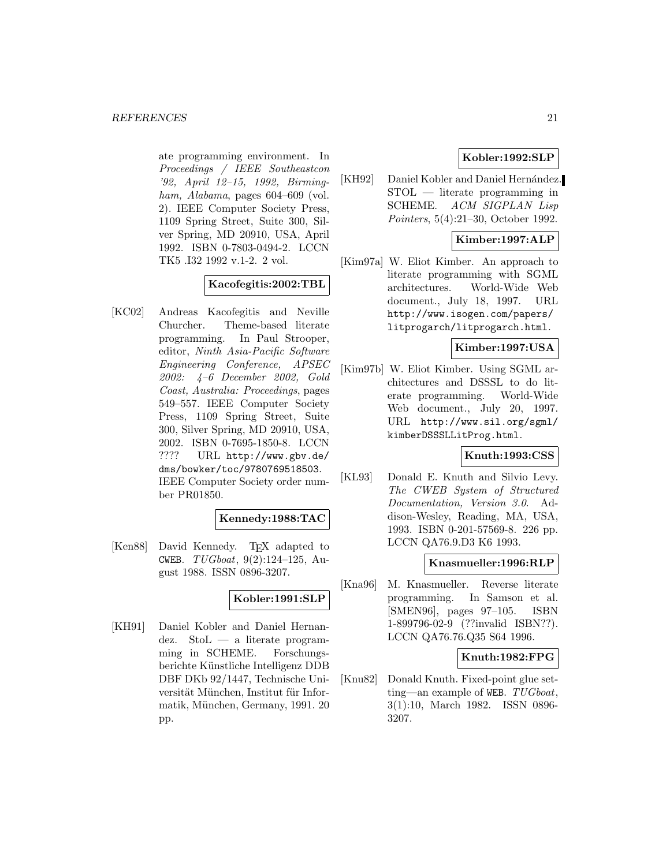ate programming environment. In Proceedings / IEEE Southeastcon '92, April 12–15, 1992, Birmingham, Alabama, pages 604–609 (vol. 2). IEEE Computer Society Press, 1109 Spring Street, Suite 300, Silver Spring, MD 20910, USA, April 1992. ISBN 0-7803-0494-2. LCCN TK5 .I32 1992 v.1-2. 2 vol.

## **Kacofegitis:2002:TBL**

[KC02] Andreas Kacofegitis and Neville Churcher. Theme-based literate programming. In Paul Strooper, editor, Ninth Asia-Pacific Software Engineering Conference, APSEC 2002: 4–6 December 2002, Gold Coast, Australia: Proceedings, pages 549–557. IEEE Computer Society Press, 1109 Spring Street, Suite 300, Silver Spring, MD 20910, USA, 2002. ISBN 0-7695-1850-8. LCCN ???? URL http://www.gbv.de/ dms/bowker/toc/9780769518503. IEEE Computer Society order number PR01850.

#### **Kennedy:1988:TAC**

[Ken88] David Kennedy. T<sub>E</sub>X adapted to CWEB.  $TUGboat$ ,  $9(2):124-125$ , August 1988. ISSN 0896-3207.

### **Kobler:1991:SLP**

[KH91] Daniel Kobler and Daniel Hernandez. StoL — a literate programming in SCHEME. Forschungsberichte Künstliche Intelligenz DDB DBF DKb 92/1447, Technische Universität München, Institut für Informatik, München, Germany, 1991. 20 pp.

## **Kobler:1992:SLP**

[KH92] Daniel Kobler and Daniel Hernández. STOL — literate programming in SCHEME. ACM SIGPLAN Lisp Pointers, 5(4):21–30, October 1992.

## **Kimber:1997:ALP**

[Kim97a] W. Eliot Kimber. An approach to literate programming with SGML architectures. World-Wide Web document., July 18, 1997. URL http://www.isogen.com/papers/ litprogarch/litprogarch.html.

### **Kimber:1997:USA**

[Kim97b] W. Eliot Kimber. Using SGML architectures and DSSSL to do literate programming. World-Wide Web document., July 20, 1997. URL http://www.sil.org/sgml/ kimberDSSSLLitProg.html.

### **Knuth:1993:CSS**

[KL93] Donald E. Knuth and Silvio Levy. The CWEB System of Structured Documentation, Version 3.0. Addison-Wesley, Reading, MA, USA, 1993. ISBN 0-201-57569-8. 226 pp. LCCN QA76.9.D3 K6 1993.

#### **Knasmueller:1996:RLP**

[Kna96] M. Knasmueller. Reverse literate programming. In Samson et al. [SMEN96], pages 97–105. ISBN 1-899796-02-9 (??invalid ISBN??). LCCN QA76.76.Q35 S64 1996.

#### **Knuth:1982:FPG**

[Knu82] Donald Knuth. Fixed-point glue setting—an example of WEB.  $TUGboat$ , 3(1):10, March 1982. ISSN 0896- 3207.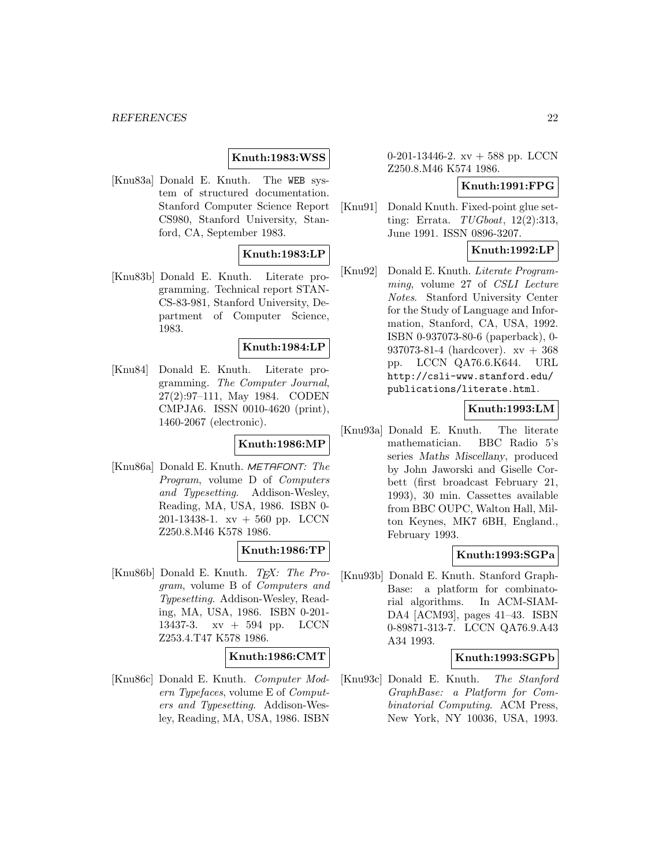### **Knuth:1983:WSS**

[Knu83a] Donald E. Knuth. The WEB system of structured documentation. Stanford Computer Science Report CS980, Stanford University, Stanford, CA, September 1983.

### **Knuth:1983:LP**

[Knu83b] Donald E. Knuth. Literate programming. Technical report STAN-CS-83-981, Stanford University, Department of Computer Science, 1983.

#### **Knuth:1984:LP**

[Knu84] Donald E. Knuth. Literate programming. The Computer Journal, 27(2):97–111, May 1984. CODEN CMPJA6. ISSN 0010-4620 (print), 1460-2067 (electronic).

## **Knuth:1986:MP**

[Knu86a] Donald E. Knuth. METAFONT: The Program, volume D of Computers and Typesetting. Addison-Wesley, Reading, MA, USA, 1986. ISBN 0- 201-13438-1. xv + 560 pp. LCCN Z250.8.M46 K578 1986.

#### **Knuth:1986:TP**

[Knu86b] Donald E. Knuth.  $T_F X$ : The Program, volume B of Computers and Typesetting. Addison-Wesley, Reading, MA, USA, 1986. ISBN 0-201- 13437-3. xv + 594 pp. LCCN Z253.4.T47 K578 1986.

#### **Knuth:1986:CMT**

[Knu86c] Donald E. Knuth. Computer Modern Typefaces, volume E of Computers and Typesetting. Addison-Wesley, Reading, MA, USA, 1986. ISBN

0-201-13446-2. xv + 588 pp. LCCN Z250.8.M46 K574 1986.

## **Knuth:1991:FPG**

[Knu91] Donald Knuth. Fixed-point glue setting: Errata. TUGboat, 12(2):313, June 1991. ISSN 0896-3207.

### **Knuth:1992:LP**

[Knu92] Donald E. Knuth. Literate Programming, volume 27 of CSLI Lecture Notes. Stanford University Center for the Study of Language and Information, Stanford, CA, USA, 1992. ISBN 0-937073-80-6 (paperback), 0- 937073-81-4 (hardcover). xv + 368 pp. LCCN QA76.6.K644. URL http://csli-www.stanford.edu/ publications/literate.html.

### **Knuth:1993:LM**

[Knu93a] Donald E. Knuth. The literate mathematician. BBC Radio 5's series *Maths Miscellany*, produced by John Jaworski and Giselle Corbett (first broadcast February 21, 1993), 30 min. Cassettes available from BBC OUPC, Walton Hall, Milton Keynes, MK7 6BH, England., February 1993.

### **Knuth:1993:SGPa**

[Knu93b] Donald E. Knuth. Stanford Graph-Base: a platform for combinatorial algorithms. In ACM-SIAM-DA4 [ACM93], pages 41–43. ISBN 0-89871-313-7. LCCN QA76.9.A43 A34 1993.

#### **Knuth:1993:SGPb**

[Knu93c] Donald E. Knuth. The Stanford GraphBase: a Platform for Combinatorial Computing. ACM Press, New York, NY 10036, USA, 1993.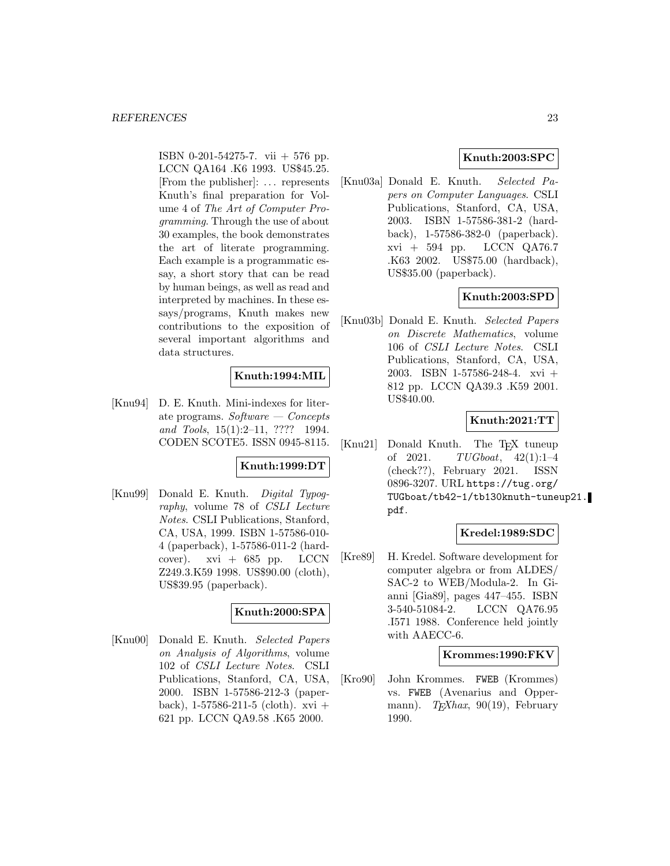ISBN 0-201-54275-7. vii + 576 pp. LCCN QA164 .K6 1993. US\$45.25. [From the publisher]: ... represents Knuth's final preparation for Volume 4 of The Art of Computer Programming. Through the use of about 30 examples, the book demonstrates the art of literate programming. Each example is a programmatic essay, a short story that can be read by human beings, as well as read and interpreted by machines. In these essays/programs, Knuth makes new contributions to the exposition of several important algorithms and data structures.

## **Knuth:1994:MIL**

[Knu94] D. E. Knuth. Mini-indexes for literate programs. Software  $\sim$  Concepts and Tools, 15(1):2–11, ???? 1994. CODEN SCOTE5. ISSN 0945-8115.

### **Knuth:1999:DT**

[Knu99] Donald E. Knuth. Digital Typography, volume 78 of CSLI Lecture Notes. CSLI Publications, Stanford, CA, USA, 1999. ISBN 1-57586-010- 4 (paperback), 1-57586-011-2 (hardcover).  $xvi + 685$  pp. LCCN Z249.3.K59 1998. US\$90.00 (cloth), US\$39.95 (paperback).

## **Knuth:2000:SPA**

[Knu00] Donald E. Knuth. Selected Papers on Analysis of Algorithms, volume 102 of CSLI Lecture Notes. CSLI Publications, Stanford, CA, USA, 2000. ISBN 1-57586-212-3 (paperback),  $1-57586-211-5$  (cloth). xvi + 621 pp. LCCN QA9.58 .K65 2000.

## **Knuth:2003:SPC**

[Knu03a] Donald E. Knuth. Selected Papers on Computer Languages. CSLI Publications, Stanford, CA, USA, 2003. ISBN 1-57586-381-2 (hardback), 1-57586-382-0 (paperback). xvi + 594 pp. LCCN QA76.7 .K63 2002. US\$75.00 (hardback), US\$35.00 (paperback).

### **Knuth:2003:SPD**

[Knu03b] Donald E. Knuth. Selected Papers on Discrete Mathematics, volume 106 of CSLI Lecture Notes. CSLI Publications, Stanford, CA, USA, 2003. ISBN 1-57586-248-4. xvi + 812 pp. LCCN QA39.3 .K59 2001. US\$40.00.

### **Knuth:2021:TT**

[Knu21] Donald Knuth. The T<sub>E</sub>X tuneup of 2021.  $TUGboat$ , 42(1):1-4  $TUGboat, 42(1):1-4$ (check??), February 2021. ISSN 0896-3207. URL https://tug.org/ TUGboat/tb42-1/tb130knuth-tuneup21. pdf.

#### **Kredel:1989:SDC**

[Kre89] H. Kredel. Software development for computer algebra or from ALDES/ SAC-2 to WEB/Modula-2. In Gianni [Gia89], pages 447–455. ISBN 3-540-51084-2. LCCN QA76.95 .I571 1988. Conference held jointly with AAECC-6.

#### **Krommes:1990:FKV**

[Kro90] John Krommes. FWEB (Krommes) vs. FWEB (Avenarius and Oppermann).  $T_F X h a x$ , 90(19), February 1990.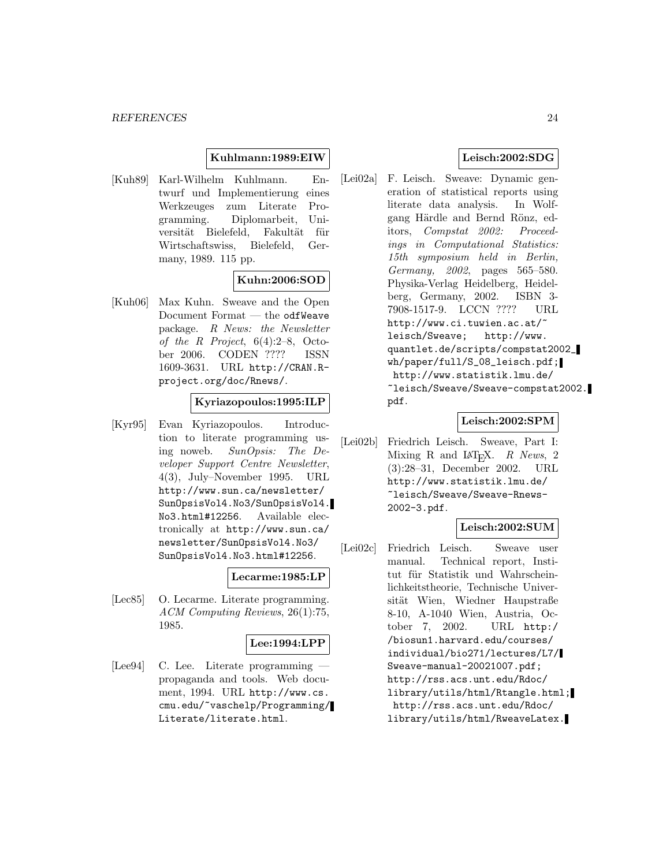### **Kuhlmann:1989:EIW**

[Kuh89] Karl-Wilhelm Kuhlmann. Entwurf und Implementierung eines Werkzeuges zum Literate Programming. Diplomarbeit, Universität Bielefeld, Fakultät für Wirtschaftswiss, Bielefeld, Germany, 1989. 115 pp.

## **Kuhn:2006:SOD**

[Kuh06] Max Kuhn. Sweave and the Open Document Format — the odfWeave package. R News: the Newsletter of the R Project, 6(4):2–8, October 2006. CODEN ???? ISSN 1609-3631. URL http://CRAN.Rproject.org/doc/Rnews/.

## **Kyriazopoulos:1995:ILP**

[Kyr95] Evan Kyriazopoulos. Introduction to literate programming using noweb. SunOpsis: The Developer Support Centre Newsletter, 4(3), July–November 1995. URL http://www.sun.ca/newsletter/ SunOpsisVol4.No3/SunOpsisVol4. No3.html#12256. Available electronically at http://www.sun.ca/ newsletter/SunOpsisVol4.No3/ SunOpsisVol4.No3.html#12256.

#### **Lecarme:1985:LP**

[Lec85] O. Lecarme. Literate programming. ACM Computing Reviews, 26(1):75, 1985.

### **Lee:1994:LPP**

[Lee94] C. Lee. Literate programming propaganda and tools. Web document, 1994. URL http://www.cs. cmu.edu/~vaschelp/Programming/ Literate/literate.html.

### **Leisch:2002:SDG**

[Lei02a] F. Leisch. Sweave: Dynamic generation of statistical reports using literate data analysis. In Wolfgang Härdle and Bernd Rönz, editors, Compstat 2002: Proceedings in Computational Statistics: 15th symposium held in Berlin, Germany, 2002, pages 565–580. Physika-Verlag Heidelberg, Heidelberg, Germany, 2002. ISBN 3- 7908-1517-9. LCCN ???? URL http://www.ci.tuwien.ac.at/~ leisch/Sweave; http://www. quantlet.de/scripts/compstat2002\_ wh/paper/full/S\_08\_leisch.pdf; http://www.statistik.lmu.de/ ~leisch/Sweave/Sweave-compstat2002. pdf.

#### **Leisch:2002:SPM**

[Lei02b] Friedrich Leisch. Sweave, Part I: Mixing R and  $\text{IAT}_\text{E}X$ . R News, 2<br>(3):28-31, December 2002. URL  $(3):28-31$ , December 2002. http://www.statistik.lmu.de/ ~leisch/Sweave/Sweave-Rnews-2002-3.pdf.

#### **Leisch:2002:SUM**

[Lei02c] Friedrich Leisch. Sweave user manual. Technical report, Institut für Statistik und Wahrscheinlichkeitstheorie, Technische Universität Wien, Wiedner Haupstraße 8-10, A-1040 Wien, Austria, October 7, 2002. URL http:/ /biosun1.harvard.edu/courses/ individual/bio271/lectures/L7/ Sweave-manual-20021007.pdf; http://rss.acs.unt.edu/Rdoc/ library/utils/html/Rtangle.html; http://rss.acs.unt.edu/Rdoc/ library/utils/html/RweaveLatex.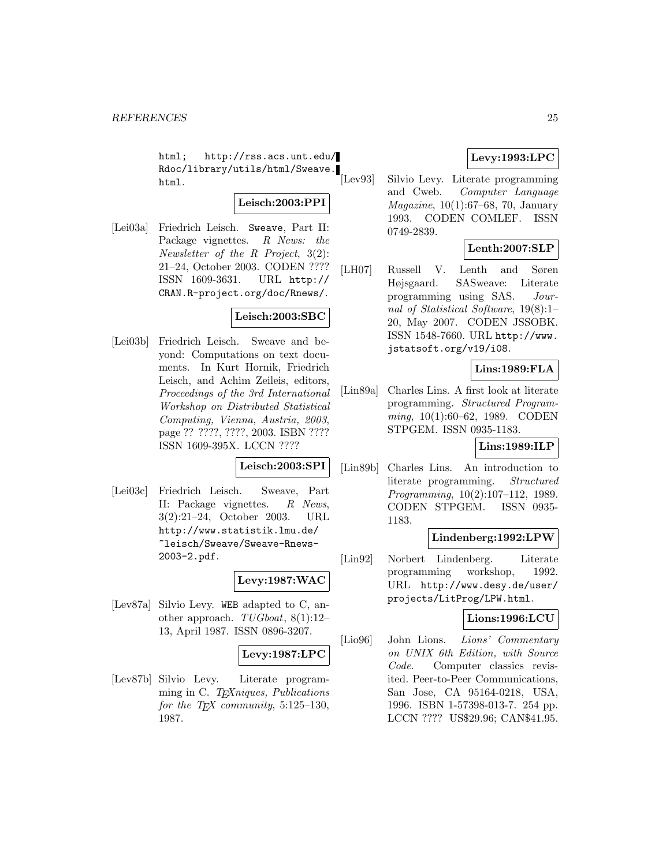html; http://rss.acs.unt.edu/ Rdoc/library/utils/html/Sweave. html.

## **Leisch:2003:PPI**

[Lei03a] Friedrich Leisch. Sweave, Part II: Package vignettes. R News: the Newsletter of the R Project, 3(2): 21–24, October 2003. CODEN ???? ISSN 1609-3631. URL http:// CRAN.R-project.org/doc/Rnews/.

## **Leisch:2003:SBC**

[Lei03b] Friedrich Leisch. Sweave and beyond: Computations on text documents. In Kurt Hornik, Friedrich Leisch, and Achim Zeileis, editors, Proceedings of the 3rd International Workshop on Distributed Statistical Computing, Vienna, Austria, 2003, page ?? ????, ????, 2003. ISBN ???? ISSN 1609-395X. LCCN ????

#### **Leisch:2003:SPI**

[Lei03c] Friedrich Leisch. Sweave, Part II: Package vignettes. R News, 3(2):21–24, October 2003. URL http://www.statistik.lmu.de/ ~leisch/Sweave/Sweave-Rnews-2003-2.pdf.

**Levy:1987:WAC**

[Lev87a] Silvio Levy. WEB adapted to C, another approach. TUGboat, 8(1):12– 13, April 1987. ISSN 0896-3207.

### **Levy:1987:LPC**

[Lev87b] Silvio Levy. Literate programming in C. T<sub>E</sub>Xniques, Publications for the T<sub>E</sub>X community, 5:125-130, 1987.

## **Levy:1993:LPC**

[Lev93] Silvio Levy. Literate programming and Cweb. Computer Language Magazine, 10(1):67–68, 70, January 1993. CODEN COMLEF. ISSN 0749-2839.

### **Lenth:2007:SLP**

[LH07] Russell V. Lenth and Søren Højsgaard. SASweave: Literate programming using SAS. Journal of Statistical Software, 19(8):1– 20, May 2007. CODEN JSSOBK. ISSN 1548-7660. URL http://www. jstatsoft.org/v19/i08.

#### **Lins:1989:FLA**

[Lin89a] Charles Lins. A first look at literate programming. Structured Programming, 10(1):60–62, 1989. CODEN STPGEM. ISSN 0935-1183.

## **Lins:1989:ILP**

[Lin89b] Charles Lins. An introduction to literate programming. Structured Programming, 10(2):107–112, 1989. CODEN STPGEM. ISSN 0935- 1183.

#### **Lindenberg:1992:LPW**

[Lin92] Norbert Lindenberg. Literate programming workshop, 1992. URL http://www.desy.de/user/ projects/LitProg/LPW.html.

### **Lions:1996:LCU**

[Lio96] John Lions. Lions' Commentary on UNIX 6th Edition, with Source Code. Computer classics revisited. Peer-to-Peer Communications, San Jose, CA 95164-0218, USA, 1996. ISBN 1-57398-013-7. 254 pp. LCCN ???? US\$29.96; CAN\$41.95.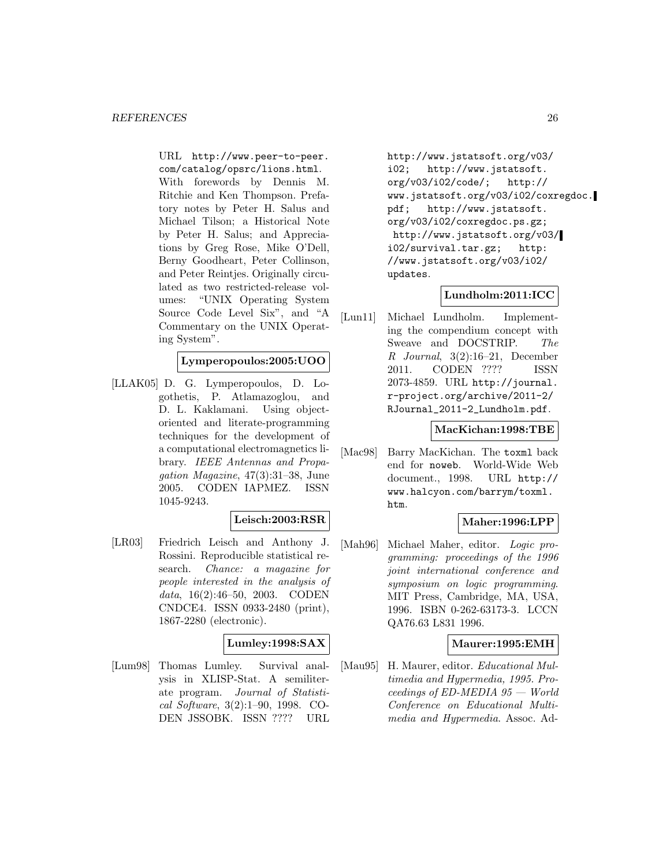URL http://www.peer-to-peer. com/catalog/opsrc/lions.html.

With forewords by Dennis M. Ritchie and Ken Thompson. Prefatory notes by Peter H. Salus and Michael Tilson; a Historical Note by Peter H. Salus; and Appreciations by Greg Rose, Mike O'Dell, Berny Goodheart, Peter Collinson, and Peter Reintjes. Originally circulated as two restricted-release volumes: "UNIX Operating System Source Code Level Six", and "A Commentary on the UNIX Operating System".

## **Lymperopoulos:2005:UOO**

[LLAK05] D. G. Lymperopoulos, D. Logothetis, P. Atlamazoglou, and D. L. Kaklamani. Using objectoriented and literate-programming techniques for the development of a computational electromagnetics library. IEEE Antennas and Propagation Magazine, 47(3):31–38, June 2005. CODEN IAPMEZ. ISSN 1045-9243.

#### **Leisch:2003:RSR**

[LR03] Friedrich Leisch and Anthony J. Rossini. Reproducible statistical research. Chance: a magazine for people interested in the analysis of data, 16(2):46–50, 2003. CODEN CNDCE4. ISSN 0933-2480 (print), 1867-2280 (electronic).

### **Lumley:1998:SAX**

[Lum98] Thomas Lumley. Survival analysis in XLISP-Stat. A semiliterate program. Journal of Statistical Software, 3(2):1–90, 1998. CO-DEN JSSOBK. ISSN ???? URL

http://www.jstatsoft.org/v03/ i02; http://www.jstatsoft. org/v03/i02/code/; http:// www.jstatsoft.org/v03/i02/coxregdoc. pdf; http://www.jstatsoft. org/v03/i02/coxregdoc.ps.gz; http://www.jstatsoft.org/v03/ i02/survival.tar.gz; http: //www.jstatsoft.org/v03/i02/ updates.

### **Lundholm:2011:ICC**

[Lun11] Michael Lundholm. Implementing the compendium concept with Sweave and DOCSTRIP. The R Journal, 3(2):16–21, December 2011. CODEN ???? ISSN 2073-4859. URL http://journal. r-project.org/archive/2011-2/ RJournal\_2011-2\_Lundholm.pdf.

#### **MacKichan:1998:TBE**

[Mac98] Barry MacKichan. The toxml back end for noweb. World-Wide Web document., 1998. URL http:// www.halcyon.com/barrym/toxml. htm.

## **Maher:1996:LPP**

[Mah96] Michael Maher, editor. Logic programming: proceedings of the 1996 joint international conference and symposium on logic programming. MIT Press, Cambridge, MA, USA, 1996. ISBN 0-262-63173-3. LCCN QA76.63 L831 1996.

#### **Maurer:1995:EMH**

[Mau95] H. Maurer, editor. Educational Multimedia and Hypermedia, 1995. Proceedings of ED-MEDIA 95 — World Conference on Educational Multimedia and Hypermedia. Assoc. Ad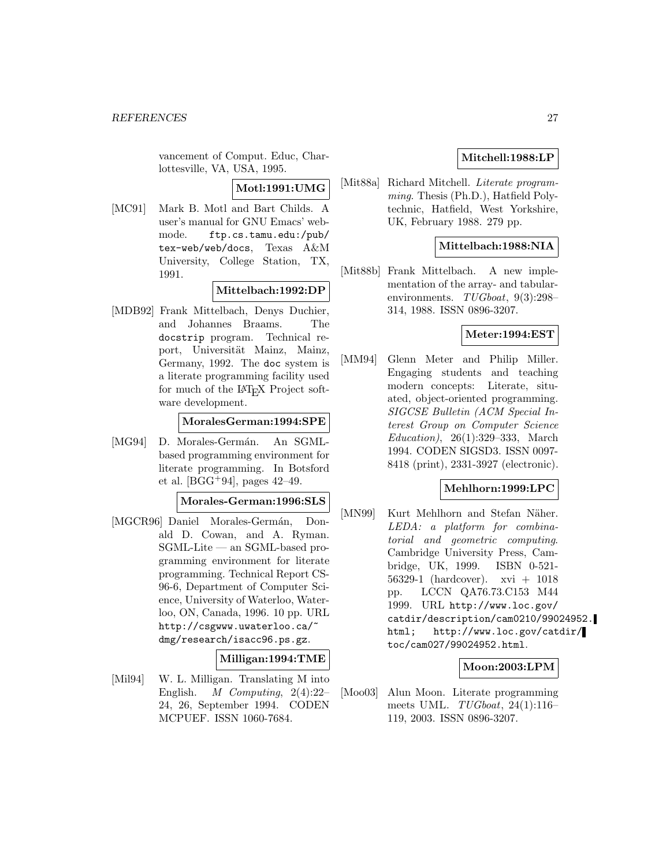vancement of Comput. Educ, Charlottesville, VA, USA, 1995.

**Motl:1991:UMG**

[MC91] Mark B. Motl and Bart Childs. A user's manual for GNU Emacs' webmode. ftp.cs.tamu.edu:/pub/ tex-web/web/docs, Texas A&M University, College Station, TX, 1991.

## **Mittelbach:1992:DP**

[MDB92] Frank Mittelbach, Denys Duchier, and Johannes Braams. The docstrip program. Technical report, Universität Mainz, Mainz, Germany, 1992. The doc system is a literate programming facility used for much of the  $IAT$ <sub>EX</sub> Project software development.

### **MoralesGerman:1994:SPE**

[MG94] D. Morales-Germán. An SGMLbased programming environment for literate programming. In Botsford et al. [BGG+94], pages  $42-49$ .

**Morales-German:1996:SLS**

[MGCR96] Daniel Morales-Germán, Donald D. Cowan, and A. Ryman. SGML-Lite — an SGML-based programming environment for literate programming. Technical Report CS-96-6, Department of Computer Science, University of Waterloo, Waterloo, ON, Canada, 1996. 10 pp. URL http://csgwww.uwaterloo.ca/~ dmg/research/isacc96.ps.gz.

### **Milligan:1994:TME**

[Mil94] W. L. Milligan. Translating M into English. M Computing, 2(4):22– 24, 26, September 1994. CODEN MCPUEF. ISSN 1060-7684.

## **Mitchell:1988:LP**

[Mit88a] Richard Mitchell. *Literate program*ming. Thesis (Ph.D.), Hatfield Polytechnic, Hatfield, West Yorkshire, UK, February 1988. 279 pp.

## **Mittelbach:1988:NIA**

[Mit88b] Frank Mittelbach. A new implementation of the array- and tabularenvironments. TUGboat, 9(3):298– 314, 1988. ISSN 0896-3207.

### **Meter:1994:EST**

[MM94] Glenn Meter and Philip Miller. Engaging students and teaching modern concepts: Literate, situated, object-oriented programming. SIGCSE Bulletin (ACM Special Interest Group on Computer Science Education), 26(1):329–333, March 1994. CODEN SIGSD3. ISSN 0097- 8418 (print), 2331-3927 (electronic).

## **Mehlhorn:1999:LPC**

[MN99] Kurt Mehlhorn and Stefan Näher. LEDA: a platform for combinatorial and geometric computing. Cambridge University Press, Cambridge, UK, 1999. ISBN 0-521- 56329-1 (hardcover). xvi + 1018 pp. LCCN QA76.73.C153 M44 1999. URL http://www.loc.gov/ catdir/description/cam0210/99024952. html; http://www.loc.gov/catdir/ toc/cam027/99024952.html.

## **Moon:2003:LPM**

[Moo03] Alun Moon. Literate programming meets UML. TUGboat, 24(1):116– 119, 2003. ISSN 0896-3207.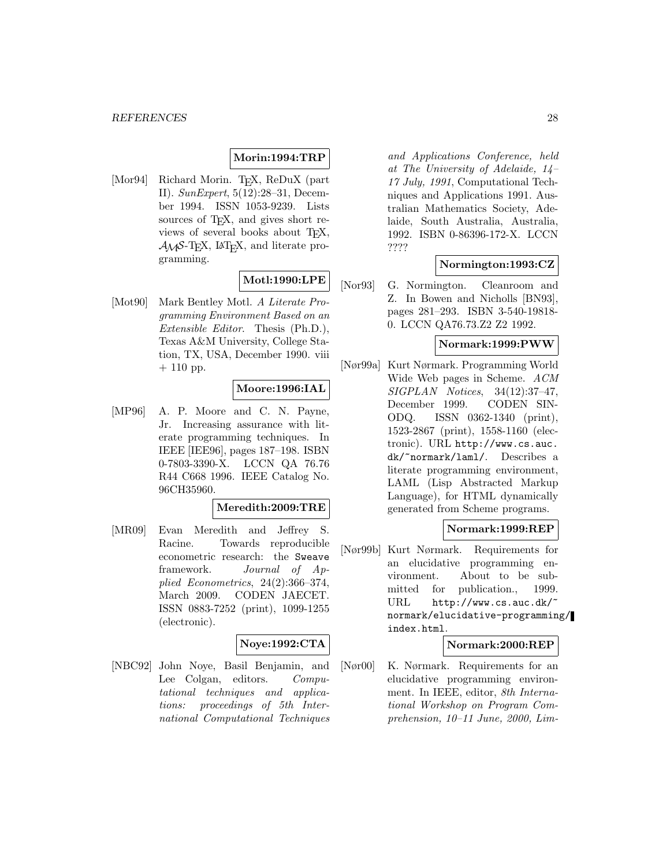## **Morin:1994:TRP**

[Mor94] Richard Morin. T<sub>E</sub>X, ReDuX (part II). SunExpert, 5(12):28–31, December 1994. ISSN 1053-9239. Lists sources of T<sub>E</sub>X, and gives short reviews of several books about T<sub>E</sub>X,  $\mathcal{A} \mathcal{M} \mathcal{S}$ -TEX, IAT<sub>E</sub>X, and literate programming.

## **Motl:1990:LPE**

[Mot90] Mark Bentley Motl. A Literate Programming Environment Based on an Extensible Editor. Thesis (Ph.D.), Texas A&M University, College Station, TX, USA, December 1990. viii  $+ 110$  pp.

## **Moore:1996:IAL**

[MP96] A. P. Moore and C. N. Payne, Jr. Increasing assurance with literate programming techniques. In IEEE [IEE96], pages 187–198. ISBN 0-7803-3390-X. LCCN QA 76.76 R44 C668 1996. IEEE Catalog No. 96CH35960.

### **Meredith:2009:TRE**

[MR09] Evan Meredith and Jeffrey S. Racine. Towards reproducible econometric research: the Sweave framework. Journal of Applied Econometrics, 24(2):366–374, March 2009. CODEN JAECET. ISSN 0883-7252 (print), 1099-1255 (electronic).

### **Noye:1992:CTA**

[NBC92] John Noye, Basil Benjamin, and Lee Colgan, editors. Computational techniques and applications: proceedings of 5th International Computational Techniques

and Applications Conference, held at The University of Adelaide, 14– 17 July, 1991, Computational Techniques and Applications 1991. Australian Mathematics Society, Adelaide, South Australia, Australia, 1992. ISBN 0-86396-172-X. LCCN ????

### **Normington:1993:CZ**

[Nor93] G. Normington. Cleanroom and Z. In Bowen and Nicholls [BN93], pages 281–293. ISBN 3-540-19818- 0. LCCN QA76.73.Z2 Z2 1992.

#### **Normark:1999:PWW**

[Nør99a] Kurt Nørmark. Programming World Wide Web pages in Scheme. ACM SIGPLAN Notices, 34(12):37–47, December 1999. CODEN SIN-ODQ. ISSN 0362-1340 (print), 1523-2867 (print), 1558-1160 (electronic). URL http://www.cs.auc. dk/~normark/laml/. Describes a literate programming environment, LAML (Lisp Abstracted Markup Language), for HTML dynamically generated from Scheme programs.

#### **Normark:1999:REP**

[Nør99b] Kurt Nørmark. Requirements for an elucidative programming environment. About to be submitted for publication., 1999. URL http://www.cs.auc.dk/ normark/elucidative-programming/ index.html.

#### **Normark:2000:REP**

[Nør00] K. Nørmark. Requirements for an elucidative programming environment. In IEEE, editor, 8th International Workshop on Program Comprehension, 10–11 June, 2000, Lim-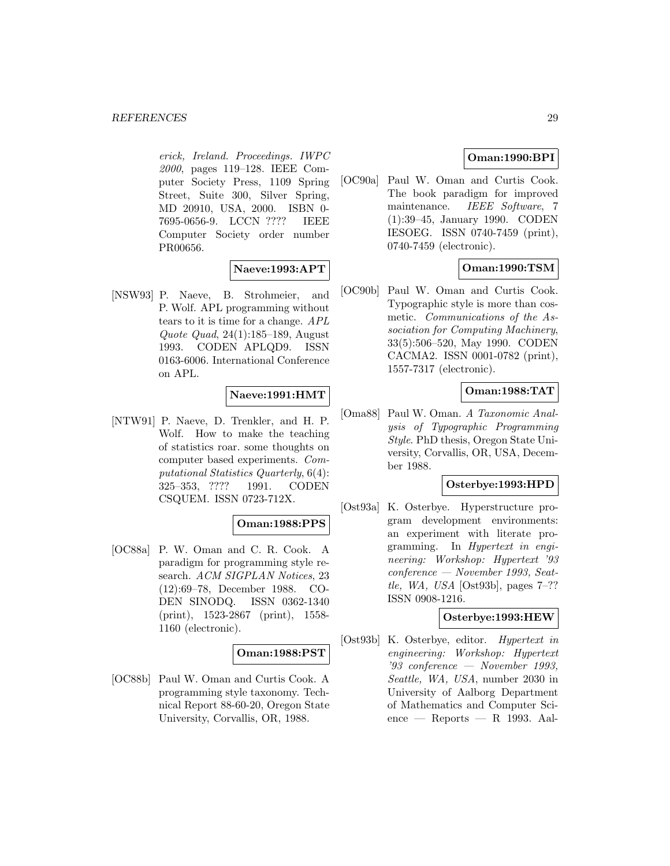erick, Ireland. Proceedings. IWPC 2000, pages 119–128. IEEE Computer Society Press, 1109 Spring Street, Suite 300, Silver Spring, MD 20910, USA, 2000. ISBN 0- 7695-0656-9. LCCN ???? IEEE Computer Society order number PR00656.

## **Naeve:1993:APT**

[NSW93] P. Naeve, B. Strohmeier, and P. Wolf. APL programming without tears to it is time for a change. APL Quote Quad, 24(1):185–189, August 1993. CODEN APLQD9. ISSN 0163-6006. International Conference on APL.

## **Naeve:1991:HMT**

[NTW91] P. Naeve, D. Trenkler, and H. P. Wolf. How to make the teaching of statistics roar. some thoughts on computer based experiments. Computational Statistics Quarterly, 6(4): 325–353, ???? 1991. CODEN CSQUEM. ISSN 0723-712X.

## **Oman:1988:PPS**

[OC88a] P. W. Oman and C. R. Cook. A paradigm for programming style research. ACM SIGPLAN Notices, 23 (12):69–78, December 1988. CO-DEN SINODQ. ISSN 0362-1340 (print), 1523-2867 (print), 1558- 1160 (electronic).

### **Oman:1988:PST**

[OC88b] Paul W. Oman and Curtis Cook. A programming style taxonomy. Technical Report 88-60-20, Oregon State University, Corvallis, OR, 1988.

## **Oman:1990:BPI**

[OC90a] Paul W. Oman and Curtis Cook. The book paradigm for improved maintenance. IEEE Software, 7 (1):39–45, January 1990. CODEN IESOEG. ISSN 0740-7459 (print), 0740-7459 (electronic).

## **Oman:1990:TSM**

[OC90b] Paul W. Oman and Curtis Cook. Typographic style is more than cosmetic. Communications of the Association for Computing Machinery, 33(5):506–520, May 1990. CODEN CACMA2. ISSN 0001-0782 (print), 1557-7317 (electronic).

## **Oman:1988:TAT**

[Oma88] Paul W. Oman. A Taxonomic Analysis of Typographic Programming Style. PhD thesis, Oregon State University, Corvallis, OR, USA, December 1988.

### **Osterbye:1993:HPD**

[Ost93a] K. Osterbye. Hyperstructure program development environments: an experiment with literate programming. In Hypertext in engineering: Workshop: Hypertext '93 conference — November 1993, Seattle, WA, USA [Ost93b], pages 7–?? ISSN 0908-1216.

### **Osterbye:1993:HEW**

[Ost93b] K. Osterbye, editor. Hypertext in engineering: Workshop: Hypertext '93 conference — November 1993, Seattle, WA, USA, number 2030 in University of Aalborg Department of Mathematics and Computer Science — Reports — R 1993. Aal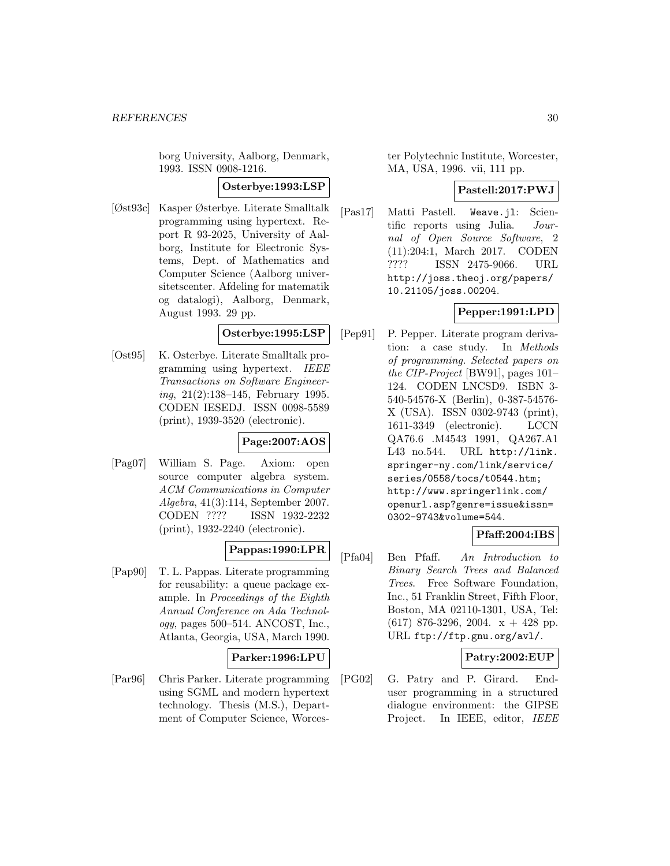borg University, Aalborg, Denmark, 1993. ISSN 0908-1216.

## **Osterbye:1993:LSP**

[Øst93c] Kasper Østerbye. Literate Smalltalk programming using hypertext. Report R 93-2025, University of Aalborg, Institute for Electronic Systems, Dept. of Mathematics and Computer Science (Aalborg universitetscenter. Afdeling for matematik og datalogi), Aalborg, Denmark, August 1993. 29 pp.

#### **Osterbye:1995:LSP**

[Ost95] K. Osterbye. Literate Smalltalk programming using hypertext. IEEE Transactions on Software Engineering, 21(2):138–145, February 1995. CODEN IESEDJ. ISSN 0098-5589 (print), 1939-3520 (electronic).

## **Page:2007:AOS**

[Pag07] William S. Page. Axiom: open source computer algebra system. ACM Communications in Computer Algebra, 41(3):114, September 2007. CODEN ???? ISSN 1932-2232 (print), 1932-2240 (electronic).

## **Pappas:1990:LPR**

[Pap90] T. L. Pappas. Literate programming for reusability: a queue package example. In Proceedings of the Eighth Annual Conference on Ada Technology, pages 500–514. ANCOST, Inc., Atlanta, Georgia, USA, March 1990.

### **Parker:1996:LPU**

[Par96] Chris Parker. Literate programming using SGML and modern hypertext technology. Thesis (M.S.), Department of Computer Science, Worces-

ter Polytechnic Institute, Worcester, MA, USA, 1996. vii, 111 pp.

### **Pastell:2017:PWJ**

[Pas17] Matti Pastell. Weave.jl: Scientific reports using Julia. Journal of Open Source Software, 2 (11):204:1, March 2017. CODEN ???? ISSN 2475-9066. URL http://joss.theoj.org/papers/ 10.21105/joss.00204.

## **Pepper:1991:LPD**

[Pep91] P. Pepper. Literate program derivation: a case study. In Methods of programming. Selected papers on the CIP-Project [BW91], pages 101– 124. CODEN LNCSD9. ISBN 3- 540-54576-X (Berlin), 0-387-54576- X (USA). ISSN 0302-9743 (print), 1611-3349 (electronic). LCCN QA76.6 .M4543 1991, QA267.A1 L43 no.544. URL http://link. springer-ny.com/link/service/ series/0558/tocs/t0544.htm; http://www.springerlink.com/ openurl.asp?genre=issue&issn= 0302-9743&volume=544.

## **Pfaff:2004:IBS**

[Pfa04] Ben Pfaff. An Introduction to Binary Search Trees and Balanced Trees. Free Software Foundation, Inc., 51 Franklin Street, Fifth Floor, Boston, MA 02110-1301, USA, Tel:  $(617)$  876-3296, 2004.  $x + 428$  pp. URL ftp://ftp.gnu.org/avl/.

### **Patry:2002:EUP**

[PG02] G. Patry and P. Girard. Enduser programming in a structured dialogue environment: the GIPSE Project. In IEEE, editor, IEEE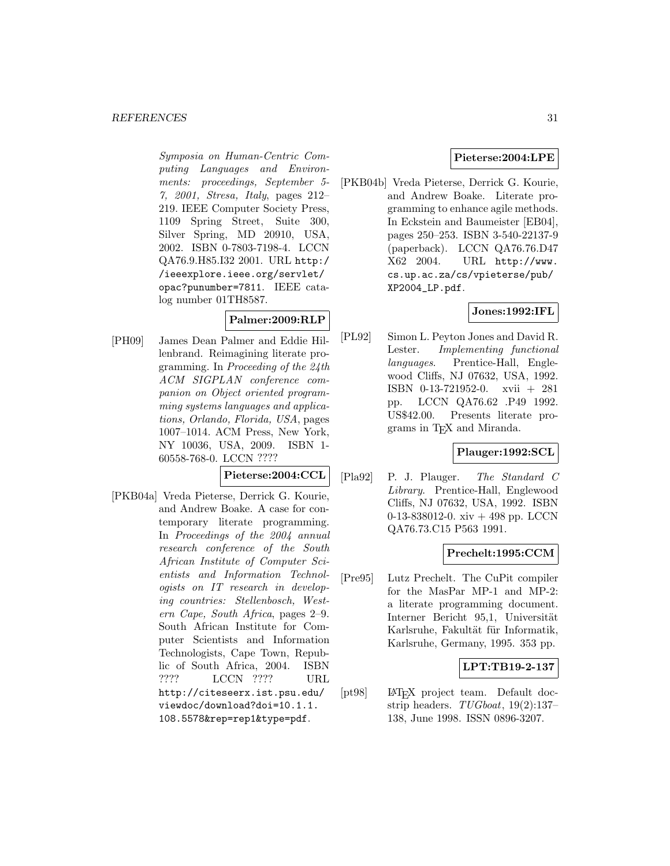Symposia on Human-Centric Computing Languages and Environments: proceedings, September 5- 7, 2001, Stresa, Italy, pages 212– 219. IEEE Computer Society Press, 1109 Spring Street, Suite 300, Silver Spring, MD 20910, USA, 2002. ISBN 0-7803-7198-4. LCCN QA76.9.H85.I32 2001. URL http:/ /ieeexplore.ieee.org/servlet/ opac?punumber=7811. IEEE catalog number 01TH8587.

## **Palmer:2009:RLP**

[PH09] James Dean Palmer and Eddie Hillenbrand. Reimagining literate programming. In Proceeding of the 24th ACM SIGPLAN conference companion on Object oriented programming systems languages and applications, Orlando, Florida, USA, pages 1007–1014. ACM Press, New York, NY 10036, USA, 2009. ISBN 1- 60558-768-0. LCCN ????

### **Pieterse:2004:CCL**

[PKB04a] Vreda Pieterse, Derrick G. Kourie, and Andrew Boake. A case for contemporary literate programming. In Proceedings of the 2004 annual research conference of the South African Institute of Computer Scientists and Information Technologists on IT research in developing countries: Stellenbosch, Western Cape, South Africa, pages 2–9. South African Institute for Computer Scientists and Information Technologists, Cape Town, Republic of South Africa, 2004. ISBN ???? LCCN ???? URL http://citeseerx.ist.psu.edu/ viewdoc/download?doi=10.1.1. 108.5578&rep=rep1&type=pdf.

## **Pieterse:2004:LPE**

[PKB04b] Vreda Pieterse, Derrick G. Kourie, and Andrew Boake. Literate programming to enhance agile methods. In Eckstein and Baumeister [EB04], pages 250–253. ISBN 3-540-22137-9 (paperback). LCCN QA76.76.D47 X62 2004. URL http://www. cs.up.ac.za/cs/vpieterse/pub/ XP2004\_LP.pdf.

## **Jones:1992:IFL**

[PL92] Simon L. Peyton Jones and David R. Lester. Implementing functional languages. Prentice-Hall, Englewood Cliffs, NJ 07632, USA, 1992. ISBN 0-13-721952-0. xvii + 281 pp. LCCN QA76.62 .P49 1992. US\$42.00. Presents literate programs in TEX and Miranda.

### **Plauger:1992:SCL**

[Pla92] P. J. Plauger. The Standard C Library. Prentice-Hall, Englewood Cliffs, NJ 07632, USA, 1992. ISBN 0-13-838012-0. xiv + 498 pp. LCCN QA76.73.C15 P563 1991.

### **Prechelt:1995:CCM**

[Pre95] Lutz Prechelt. The CuPit compiler for the MasPar MP-1 and MP-2: a literate programming document. Interner Bericht 95,1, Universität Karlsruhe, Fakultät für Informatik, Karlsruhe, Germany, 1995. 353 pp.

## **LPT:TB19-2-137**

[pt98] LAT<sub>EX</sub> project team. Default docstrip headers. TUGboat, 19(2):137– 138, June 1998. ISSN 0896-3207.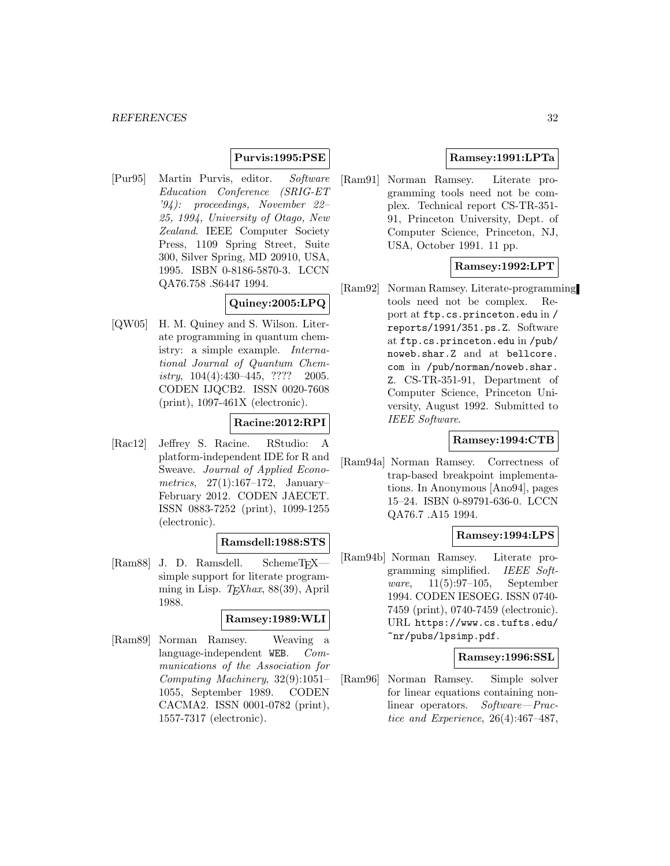## **Purvis:1995:PSE**

[Pur95] Martin Purvis, editor. Software Education Conference (SRIG-ET '94): proceedings, November 22– 25, 1994, University of Otago, New Zealand. IEEE Computer Society Press, 1109 Spring Street, Suite 300, Silver Spring, MD 20910, USA, 1995. ISBN 0-8186-5870-3. LCCN QA76.758 .S6447 1994.

#### **Quiney:2005:LPQ**

[QW05] H. M. Quiney and S. Wilson. Literate programming in quantum chemistry: a simple example. International Journal of Quantum Chemistry, 104(4):430–445, ???? 2005. CODEN IJQCB2. ISSN 0020-7608 (print), 1097-461X (electronic).

## **Racine:2012:RPI**

[Rac12] Jeffrey S. Racine. RStudio: A platform-independent IDE for R and Sweave. Journal of Applied Econometrics, 27(1):167–172, January– February 2012. CODEN JAECET. ISSN 0883-7252 (print), 1099-1255 (electronic).

#### **Ramsdell:1988:STS**

[Ram88] J. D. Ramsdell. SchemeTEX simple support for literate programming in Lisp.  $T_{E}Xhax$ , 88(39), April 1988.

#### **Ramsey:1989:WLI**

[Ram89] Norman Ramsey. Weaving a language-independent WEB. Communications of the Association for Computing Machinery, 32(9):1051– 1055, September 1989. CODEN CACMA2. ISSN 0001-0782 (print), 1557-7317 (electronic).

#### **Ramsey:1991:LPTa**

[Ram91] Norman Ramsey. Literate programming tools need not be complex. Technical report CS-TR-351- 91, Princeton University, Dept. of Computer Science, Princeton, NJ, USA, October 1991. 11 pp.

## **Ramsey:1992:LPT**

[Ram92] Norman Ramsey. Literate-programming tools need not be complex. Report at ftp.cs.princeton.edu in / reports/1991/351.ps.Z. Software at ftp.cs.princeton.edu in /pub/ noweb.shar.Z and at bellcore. com in /pub/norman/noweb.shar. Z. CS-TR-351-91, Department of Computer Science, Princeton University, August 1992. Submitted to IEEE Software.

### **Ramsey:1994:CTB**

[Ram94a] Norman Ramsey. Correctness of trap-based breakpoint implementations. In Anonymous [Ano94], pages 15–24. ISBN 0-89791-636-0. LCCN QA76.7 .A15 1994.

### **Ramsey:1994:LPS**

[Ram94b] Norman Ramsey. Literate programming simplified. IEEE Software, 11(5):97–105, September 1994. CODEN IESOEG. ISSN 0740- 7459 (print), 0740-7459 (electronic). URL https://www.cs.tufts.edu/ ~nr/pubs/lpsimp.pdf.

### **Ramsey:1996:SSL**

[Ram96] Norman Ramsey. Simple solver for linear equations containing nonlinear operators. Software—Practice and Experience, 26(4):467–487,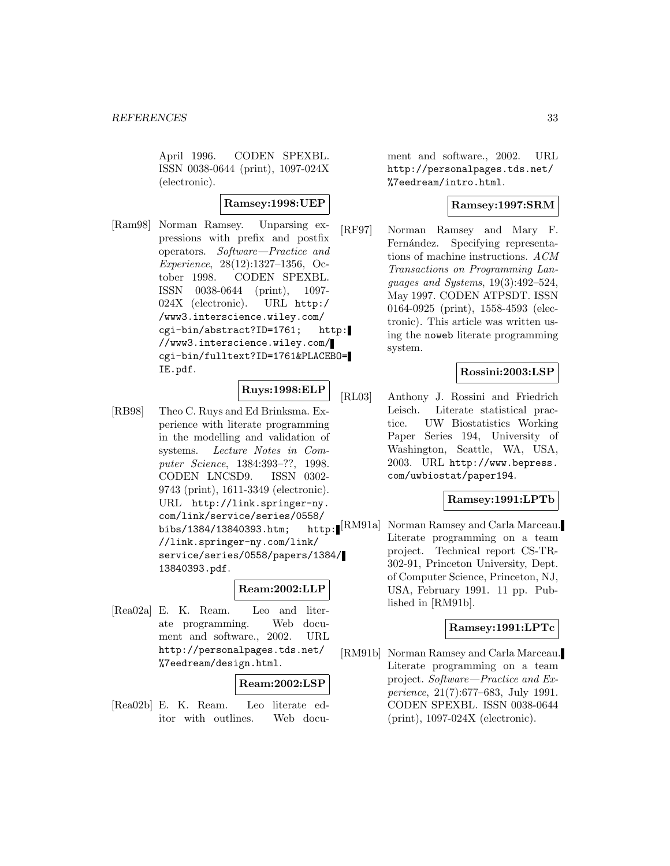April 1996. CODEN SPEXBL. ISSN 0038-0644 (print), 1097-024X (electronic).

### **Ramsey:1998:UEP**

[Ram98] Norman Ramsey. Unparsing expressions with prefix and postfix operators. Software—Practice and Experience, 28(12):1327–1356, October 1998. CODEN SPEXBL. ISSN 0038-0644 (print), 1097- 024X (electronic). URL http:/ /www3.interscience.wiley.com/ cgi-bin/abstract?ID=1761; http: //www3.interscience.wiley.com/ cgi-bin/fulltext?ID=1761&PLACEBO= IE.pdf.

## **Ruys:1998:ELP**

[RB98] Theo C. Ruys and Ed Brinksma. Experience with literate programming in the modelling and validation of systems. Lecture Notes in Computer Science, 1384:393–??, 1998. CODEN LNCSD9. ISSN 0302- 9743 (print), 1611-3349 (electronic). URL http://link.springer-ny. com/link/service/series/0558/ bibs/1384/13840393.htm; //link.springer-ny.com/link/ service/series/0558/papers/1384/ 13840393.pdf.

### **Ream:2002:LLP**

[Rea02a] E. K. Ream. Leo and literate programming. Web document and software., 2002. URL http://personalpages.tds.net/ %7eedream/design.html.

### **Ream:2002:LSP**

[Rea02b] E. K. Ream. Leo literate editor with outlines. Web docu-

ment and software., 2002. URL http://personalpages.tds.net/ %7eedream/intro.html.

## **Ramsey:1997:SRM**

[RF97] Norman Ramsey and Mary F. Fernández. Specifying representations of machine instructions. ACM Transactions on Programming Languages and Systems, 19(3):492–524, May 1997. CODEN ATPSDT. ISSN 0164-0925 (print), 1558-4593 (electronic). This article was written using the noweb literate programming system.

## **Rossini:2003:LSP**

[RL03] Anthony J. Rossini and Friedrich Leisch. Literate statistical practice. UW Biostatistics Working Paper Series 194, University of Washington, Seattle, WA, USA, 2003. URL http://www.bepress. com/uwbiostat/paper194.

## **Ramsey:1991:LPTb**

http: [RM91a] Norman Ramsey and Carla Marceau. Literate programming on a team project. Technical report CS-TR-302-91, Princeton University, Dept. of Computer Science, Princeton, NJ, USA, February 1991. 11 pp. Published in [RM91b].

#### **Ramsey:1991:LPTc**

[RM91b] Norman Ramsey and Carla Marceau. Literate programming on a team project. Software—Practice and Experience, 21(7):677–683, July 1991. CODEN SPEXBL. ISSN 0038-0644 (print), 1097-024X (electronic).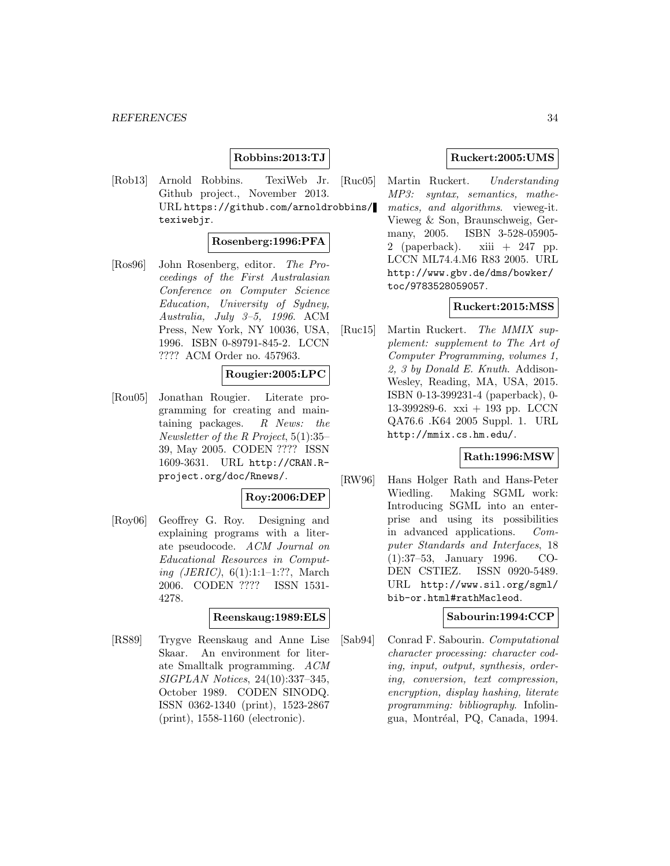## **Robbins:2013:TJ**

[Rob13] Arnold Robbins. TexiWeb Jr. Github project., November 2013. URL https://github.com/arnoldrobbins/ texiwebjr.

#### **Rosenberg:1996:PFA**

[Ros96] John Rosenberg, editor. The Proceedings of the First Australasian Conference on Computer Science Education, University of Sydney, Australia, July 3–5, 1996. ACM Press, New York, NY 10036, USA, 1996. ISBN 0-89791-845-2. LCCN ???? ACM Order no. 457963.

#### **Rougier:2005:LPC**

[Rou05] Jonathan Rougier. Literate programming for creating and maintaining packages.  $R$  News: the Newsletter of the R Project, 5(1):35– 39, May 2005. CODEN ???? ISSN 1609-3631. URL http://CRAN.Rproject.org/doc/Rnews/.

## **Roy:2006:DEP**

[Roy06] Geoffrey G. Roy. Designing and explaining programs with a literate pseudocode. ACM Journal on Educational Resources in Computing (JERIC), 6(1):1:1–1:??, March 2006. CODEN ???? ISSN 1531- 4278.

#### **Reenskaug:1989:ELS**

[RS89] Trygve Reenskaug and Anne Lise Skaar. An environment for literate Smalltalk programming. ACM SIGPLAN Notices, 24(10):337–345, October 1989. CODEN SINODQ. ISSN 0362-1340 (print), 1523-2867 (print), 1558-1160 (electronic).

### **Ruckert:2005:UMS**

[Ruc05] Martin Ruckert. Understanding MP3: syntax, semantics, mathematics, and algorithms. vieweg-it. Vieweg & Son, Braunschweig, Germany, 2005. ISBN 3-528-05905- 2 (paperback). xiii  $+247$  pp. LCCN ML74.4.M6 R83 2005. URL http://www.gbv.de/dms/bowker/ toc/9783528059057.

## **Ruckert:2015:MSS**

[Ruc15] Martin Ruckert. The MMIX supplement: supplement to The Art of Computer Programming, volumes 1, 2, 3 by Donald E. Knuth. Addison-Wesley, Reading, MA, USA, 2015. ISBN 0-13-399231-4 (paperback), 0- 13-399289-6. xxi + 193 pp. LCCN QA76.6 .K64 2005 Suppl. 1. URL http://mmix.cs.hm.edu/.

#### **Rath:1996:MSW**

[RW96] Hans Holger Rath and Hans-Peter Wiedling. Making SGML work: Introducing SGML into an enterprise and using its possibilities in advanced applications. Computer Standards and Interfaces, 18 (1):37–53, January 1996. CO-DEN CSTIEZ. ISSN 0920-5489. URL http://www.sil.org/sgml/ bib-or.html#rathMacleod.

#### **Sabourin:1994:CCP**

[Sab94] Conrad F. Sabourin. Computational character processing: character coding, input, output, synthesis, ordering, conversion, text compression, encryption, display hashing, literate programming: bibliography. Infolingua, Montréal, PQ, Canada, 1994.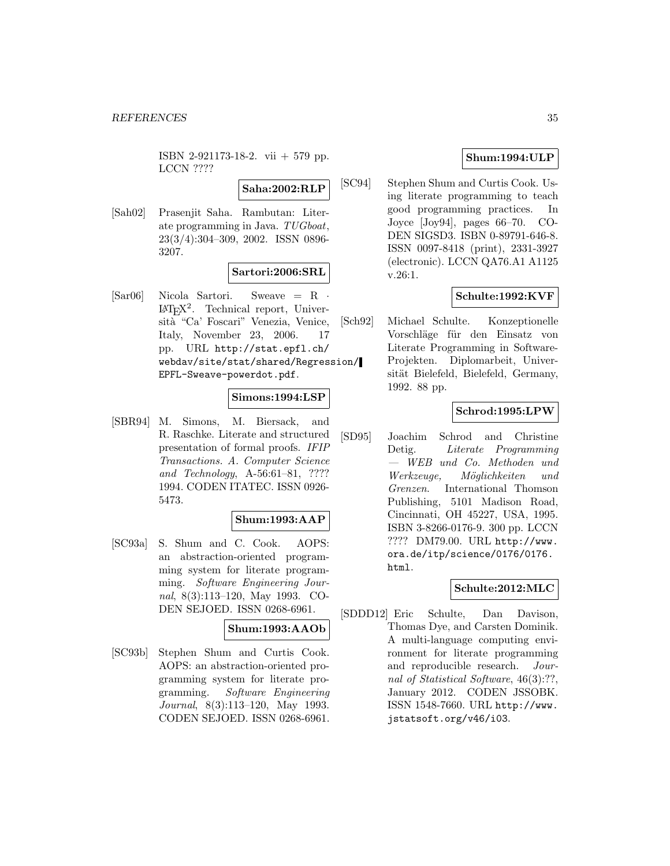ISBN 2-921173-18-2. vii + 579 pp. LCCN ????

## **Saha:2002:RLP**

[Sah02] Prasenjit Saha. Rambutan: Literate programming in Java. TUGboat, 23(3/4):304–309, 2002. ISSN 0896- 3207.

## **Sartori:2006:SRL**

[Sar06] Nicola Sartori. Sweave = R ·  $IAT<sub>F</sub>X<sup>2</sup>$ . Technical report, Università "Ca' Foscari" Venezia, Venice, Italy, November 23, 2006. 17 pp. URL http://stat.epfl.ch/ webdav/site/stat/shared/Regression/ EPFL-Sweave-powerdot.pdf.

## **Simons:1994:LSP**

[SBR94] M. Simons, M. Biersack, and R. Raschke. Literate and structured presentation of formal proofs. IFIP Transactions. A. Computer Science and Technology, A-56:61–81, ???? 1994. CODEN ITATEC. ISSN 0926- 5473.

#### **Shum:1993:AAP**

[SC93a] S. Shum and C. Cook. AOPS: an abstraction-oriented programming system for literate programming. Software Engineering Journal, 8(3):113–120, May 1993. CO-DEN SEJOED. ISSN 0268-6961.

#### **Shum:1993:AAOb**

[SC93b] Stephen Shum and Curtis Cook. AOPS: an abstraction-oriented programming system for literate programming. Software Engineering Journal, 8(3):113–120, May 1993. CODEN SEJOED. ISSN 0268-6961.

## **Shum:1994:ULP**

[SC94] Stephen Shum and Curtis Cook. Using literate programming to teach good programming practices. In Joyce [Joy94], pages 66–70. CO-DEN SIGSD3. ISBN 0-89791-646-8. ISSN 0097-8418 (print), 2331-3927 (electronic). LCCN QA76.A1 A1125 v.26:1.

## **Schulte:1992:KVF**

[Sch92] Michael Schulte. Konzeptionelle Vorschläge für den Einsatz von Literate Programming in Software-Projekten. Diplomarbeit, Universität Bielefeld, Bielefeld, Germany, 1992. 88 pp.

## **Schrod:1995:LPW**

[SD95] Joachim Schrod and Christine Detig. Literate Programming — WEB und Co. Methoden und Werkzeuge, Möglichkeiten und Grenzen. International Thomson Publishing, 5101 Madison Road, Cincinnati, OH 45227, USA, 1995. ISBN 3-8266-0176-9. 300 pp. LCCN ???? DM79.00. URL http://www. ora.de/itp/science/0176/0176. html.

### **Schulte:2012:MLC**

[SDDD12] Eric Schulte, Dan Davison, Thomas Dye, and Carsten Dominik. A multi-language computing environment for literate programming and reproducible research. Journal of Statistical Software, 46(3):??, January 2012. CODEN JSSOBK. ISSN 1548-7660. URL http://www. jstatsoft.org/v46/i03.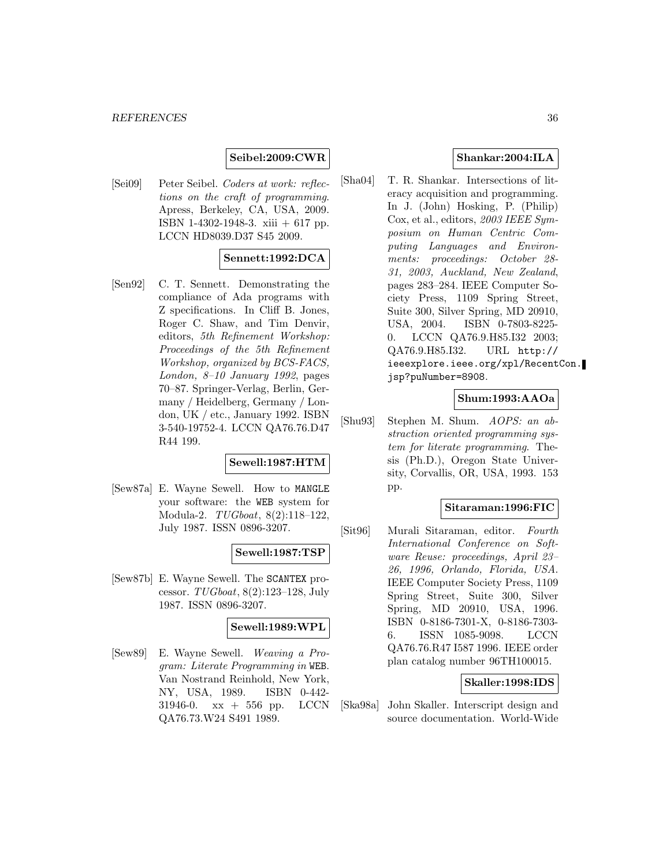## **Seibel:2009:CWR**

[Sei09] Peter Seibel. Coders at work: reflections on the craft of programming. Apress, Berkeley, CA, USA, 2009. ISBN 1-4302-1948-3. xiii + 617 pp. LCCN HD8039.D37 S45 2009.

#### **Sennett:1992:DCA**

[Sen92] C. T. Sennett. Demonstrating the compliance of Ada programs with Z specifications. In Cliff B. Jones, Roger C. Shaw, and Tim Denvir, editors, 5th Refinement Workshop: Proceedings of the 5th Refinement Workshop, organized by BCS-FACS, London, 8–10 January 1992, pages 70–87. Springer-Verlag, Berlin, Germany / Heidelberg, Germany / London, UK / etc., January 1992. ISBN 3-540-19752-4. LCCN QA76.76.D47 R44 199.

### **Sewell:1987:HTM**

[Sew87a] E. Wayne Sewell. How to MANGLE your software: the WEB system for Modula-2. TUGboat, 8(2):118–122, July 1987. ISSN 0896-3207.

## **Sewell:1987:TSP**

[Sew87b] E. Wayne Sewell. The SCANTEX processor. TUGboat, 8(2):123–128, July 1987. ISSN 0896-3207.

#### **Sewell:1989:WPL**

[Sew89] E. Wayne Sewell. Weaving a Program: Literate Programming in WEB. Van Nostrand Reinhold, New York, NY, USA, 1989. ISBN 0-442- 31946-0. xx + 556 pp. LCCN QA76.73.W24 S491 1989.

## **Shankar:2004:ILA**

[Sha04] T. R. Shankar. Intersections of literacy acquisition and programming. In J. (John) Hosking, P. (Philip) Cox, et al., editors, 2003 IEEE Symposium on Human Centric Computing Languages and Environments: proceedings: October 28- 31, 2003, Auckland, New Zealand, pages 283–284. IEEE Computer Society Press, 1109 Spring Street, Suite 300, Silver Spring, MD 20910, USA, 2004. ISBN 0-7803-8225- 0. LCCN QA76.9.H85.I32 2003; QA76.9.H85.I32. URL http:// ieeexplore.ieee.org/xpl/RecentCon. jsp?puNumber=8908.

### **Shum:1993:AAOa**

[Shu93] Stephen M. Shum. AOPS: an abstraction oriented programming system for literate programming. Thesis (Ph.D.), Oregon State University, Corvallis, OR, USA, 1993. 153 pp.

#### **Sitaraman:1996:FIC**

[Sit96] Murali Sitaraman, editor. Fourth International Conference on Software Reuse: proceedings, April 23– 26, 1996, Orlando, Florida, USA. IEEE Computer Society Press, 1109 Spring Street, Suite 300, Silver Spring, MD 20910, USA, 1996. ISBN 0-8186-7301-X, 0-8186-7303- 6. ISSN 1085-9098. LCCN QA76.76.R47 I587 1996. IEEE order plan catalog number 96TH100015.

#### **Skaller:1998:IDS**

[Ska98a] John Skaller. Interscript design and source documentation. World-Wide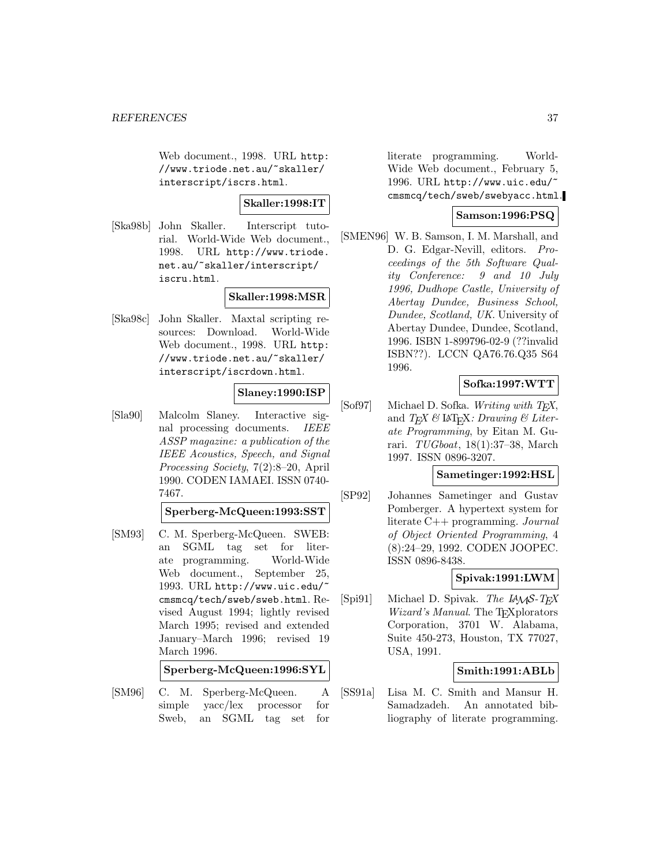Web document., 1998. URL http: //www.triode.net.au/~skaller/ interscript/iscrs.html.

### **Skaller:1998:IT**

[Ska98b] John Skaller. Interscript tutorial. World-Wide Web document., 1998. URL http://www.triode. net.au/~skaller/interscript/ iscru.html.

## **Skaller:1998:MSR**

[Ska98c] John Skaller. Maxtal scripting resources: Download. World-Wide Web document., 1998. URL http: //www.triode.net.au/~skaller/ interscript/iscrdown.html.

## **Slaney:1990:ISP**

[Sla90] Malcolm Slaney. Interactive signal processing documents. IEEE ASSP magazine: a publication of the IEEE Acoustics, Speech, and Signal Processing Society, 7(2):8–20, April 1990. CODEN IAMAEI. ISSN 0740- 7467.

#### **Sperberg-McQueen:1993:SST**

[SM93] C. M. Sperberg-McQueen. SWEB: an SGML tag set for literate programming. World-Wide Web document., September 25, 1993. URL http://www.uic.edu/~ cmsmcq/tech/sweb/sweb.html. Revised August 1994; lightly revised March 1995; revised and extended January–March 1996; revised 19 March 1996.

### **Sperberg-McQueen:1996:SYL**

[SM96] C. M. Sperberg-McQueen. A simple yacc/lex processor for Sweb, an SGML tag set for

literate programming. World-Wide Web document., February 5, 1996. URL http://www.uic.edu/~ cmsmcq/tech/sweb/swebyacc.html.

### **Samson:1996:PSQ**

[SMEN96] W. B. Samson, I. M. Marshall, and D. G. Edgar-Nevill, editors. Proceedings of the 5th Software Quality Conference: 9 and 10 July 1996, Dudhope Castle, University of Abertay Dundee, Business School, Dundee, Scotland, UK. University of Abertay Dundee, Dundee, Scotland, 1996. ISBN 1-899796-02-9 (??invalid ISBN??). LCCN QA76.76.Q35 S64 1996.

## **Sofka:1997:WTT**

 $[Soft807]$  Michael D. Sofka. Writing with T<sub>E</sub>X, and  $TEX \& \Delta \rightarrow Y$ . Drawing & Literate Programming, by Eitan M. Gurari. TUGboat, 18(1):37–38, March 1997. ISSN 0896-3207.

### **Sametinger:1992:HSL**

[SP92] Johannes Sametinger and Gustav Pomberger. A hypertext system for literate C++ programming. Journal of Object Oriented Programming, 4 (8):24–29, 1992. CODEN JOOPEC. ISSN 0896-8438.

## **Spivak:1991:LWM**

[Spi91] Michael D. Spivak. The  $L_A\mathcal{S}$ -TEX Wizard's Manual. The TEX plorators Corporation, 3701 W. Alabama, Suite 450-273, Houston, TX 77027, USA, 1991.

### **Smith:1991:ABLb**

[SS91a] Lisa M. C. Smith and Mansur H. Samadzadeh. An annotated bibliography of literate programming.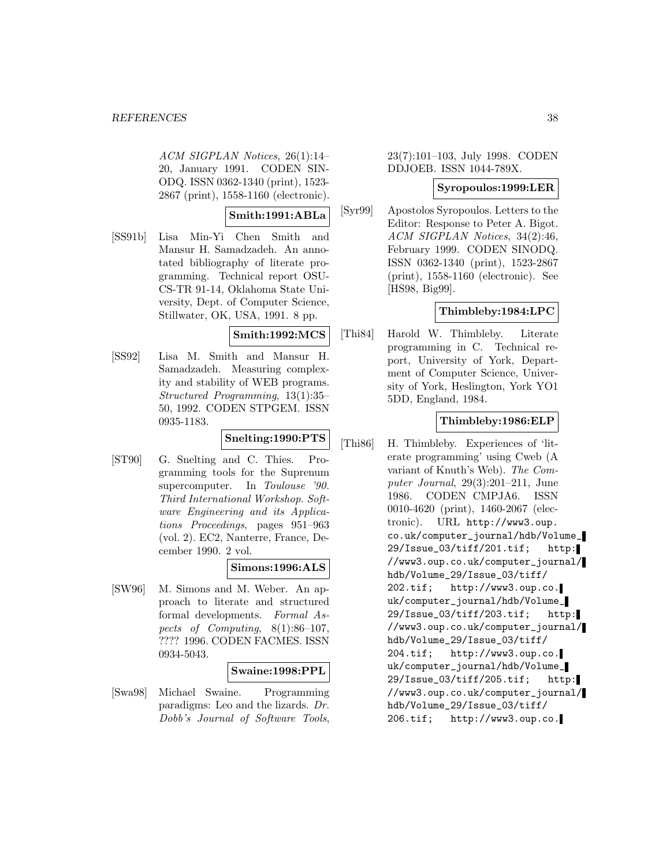ACM SIGPLAN Notices, 26(1):14– 20, January 1991. CODEN SIN-ODQ. ISSN 0362-1340 (print), 1523- 2867 (print), 1558-1160 (electronic).

## **Smith:1991:ABLa**

[SS91b] Lisa Min-Yi Chen Smith and Mansur H. Samadzadeh. An annotated bibliography of literate programming. Technical report OSU-CS-TR 91-14, Oklahoma State University, Dept. of Computer Science, Stillwater, OK, USA, 1991. 8 pp.

#### **Smith:1992:MCS**

[SS92] Lisa M. Smith and Mansur H. Samadzadeh. Measuring complexity and stability of WEB programs. Structured Programming, 13(1):35– 50, 1992. CODEN STPGEM. ISSN 0935-1183.

#### **Snelting:1990:PTS**

[ST90] G. Snelting and C. Thies. Programming tools for the Suprenum supercomputer. In Toulouse '90. Third International Workshop. Software Engineering and its Applications Proceedings, pages 951–963 (vol. 2). EC2, Nanterre, France, December 1990. 2 vol.

## **Simons:1996:ALS**

[SW96] M. Simons and M. Weber. An approach to literate and structured formal developments. Formal Aspects of Computing, 8(1):86–107, ???? 1996. CODEN FACMES. ISSN 0934-5043.

### **Swaine:1998:PPL**

[Swa98] Michael Swaine. Programming paradigms: Leo and the lizards. Dr. Dobb's Journal of Software Tools,

23(7):101–103, July 1998. CODEN DDJOEB. ISSN 1044-789X.

#### **Syropoulos:1999:LER**

[Syr99] Apostolos Syropoulos. Letters to the Editor: Response to Peter A. Bigot. ACM SIGPLAN Notices, 34(2):46, February 1999. CODEN SINODQ. ISSN 0362-1340 (print), 1523-2867 (print), 1558-1160 (electronic). See [HS98, Big99].

### **Thimbleby:1984:LPC**

[Thi84] Harold W. Thimbleby. Literate programming in C. Technical report, University of York, Department of Computer Science, University of York, Heslington, York YO1 5DD, England, 1984.

## **Thimbleby:1986:ELP**

[Thi86] H. Thimbleby. Experiences of 'literate programming' using Cweb (A variant of Knuth's Web). The Computer Journal, 29(3):201–211, June 1986. CODEN CMPJA6. ISSN 0010-4620 (print), 1460-2067 (electronic). URL http://www3.oup. co.uk/computer\_journal/hdb/Volume\_ 29/Issue\_03/tiff/201.tif; http: //www3.oup.co.uk/computer\_journal/ hdb/Volume\_29/Issue\_03/tiff/ 202.tif; http://www3.oup.co. uk/computer\_journal/hdb/Volume\_ 29/Issue\_03/tiff/203.tif; http: //www3.oup.co.uk/computer\_journal/ hdb/Volume\_29/Issue\_03/tiff/ 204.tif; http://www3.oup.co. uk/computer\_journal/hdb/Volume\_ 29/Issue\_03/tiff/205.tif; http: //www3.oup.co.uk/computer\_journal/ hdb/Volume\_29/Issue\_03/tiff/ 206.tif; http://www3.oup.co.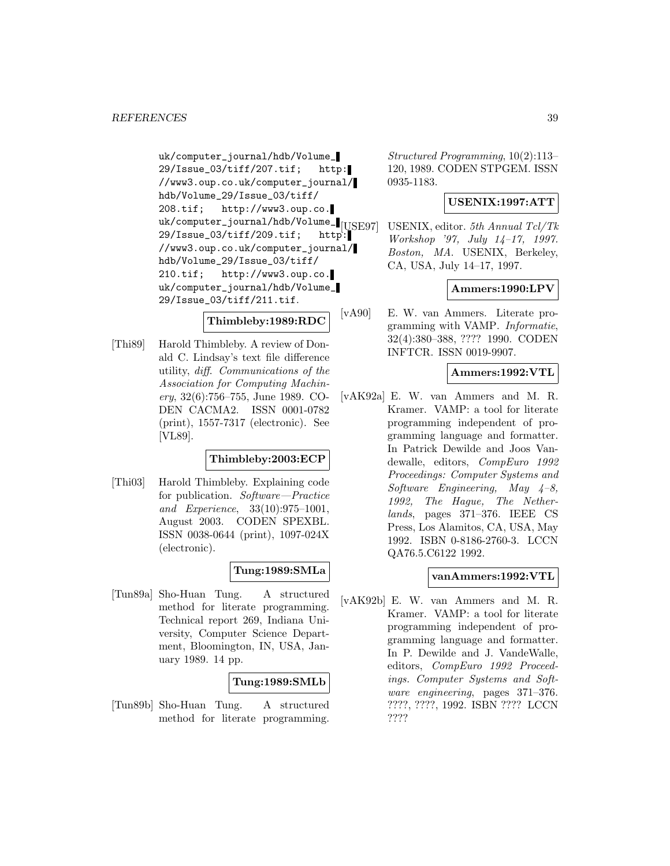uk/computer\_journal/hdb/Volume\_ 29/Issue\_03/tiff/207.tif; http: //www3.oup.co.uk/computer\_journal/ hdb/Volume\_29/Issue\_03/tiff/ 208.tif; http://www3.oup.co. uk/computer\_journal/hdb/Volume\_ $_{[USE97]}$  $29/I$ ssue\_03/tiff/209.tif; http: //www3.oup.co.uk/computer\_journal/ hdb/Volume\_29/Issue\_03/tiff/ 210.tif; http://www3.oup.co. uk/computer\_journal/hdb/Volume\_ 29/Issue\_03/tiff/211.tif.

### **Thimbleby:1989:RDC**

[Thi89] Harold Thimbleby. A review of Donald C. Lindsay's text file difference utility, diff. Communications of the Association for Computing Machinery, 32(6):756–755, June 1989. CO-DEN CACMA2. ISSN 0001-0782 (print), 1557-7317 (electronic). See [VL89].

### **Thimbleby:2003:ECP**

[Thi03] Harold Thimbleby. Explaining code for publication. Software—Practice and Experience, 33(10):975–1001, August 2003. CODEN SPEXBL. ISSN 0038-0644 (print), 1097-024X (electronic).

## **Tung:1989:SMLa**

[Tun89a] Sho-Huan Tung. A structured method for literate programming. Technical report 269, Indiana University, Computer Science Department, Bloomington, IN, USA, January 1989. 14 pp.

## **Tung:1989:SMLb**

[Tun89b] Sho-Huan Tung. A structured method for literate programming.

Structured Programming, 10(2):113– 120, 1989. CODEN STPGEM. ISSN 0935-1183.

### **USENIX:1997:ATT**

USENIX, editor. 5th Annual Tcl/Tk Workshop '97, July 14–17, 1997. Boston, MA. USENIX, Berkeley, CA, USA, July 14–17, 1997.

## **Ammers:1990:LPV**

[vA90] E. W. van Ammers. Literate programming with VAMP. Informatie, 32(4):380–388, ???? 1990. CODEN INFTCR. ISSN 0019-9907.

### **Ammers:1992:VTL**

[vAK92a] E. W. van Ammers and M. R. Kramer. VAMP: a tool for literate programming independent of programming language and formatter. In Patrick Dewilde and Joos Vandewalle, editors, CompEuro 1992 Proceedings: Computer Systems and Software Engineering, May  $4-8$ , 1992, The Hague, The Netherlands, pages 371–376. IEEE CS Press, Los Alamitos, CA, USA, May 1992. ISBN 0-8186-2760-3. LCCN QA76.5.C6122 1992.

### **vanAmmers:1992:VTL**

[vAK92b] E. W. van Ammers and M. R. Kramer. VAMP: a tool for literate programming independent of programming language and formatter. In P. Dewilde and J. VandeWalle, editors, CompEuro 1992 Proceedings. Computer Systems and Software engineering, pages 371–376. ????, ????, 1992. ISBN ???? LCCN ????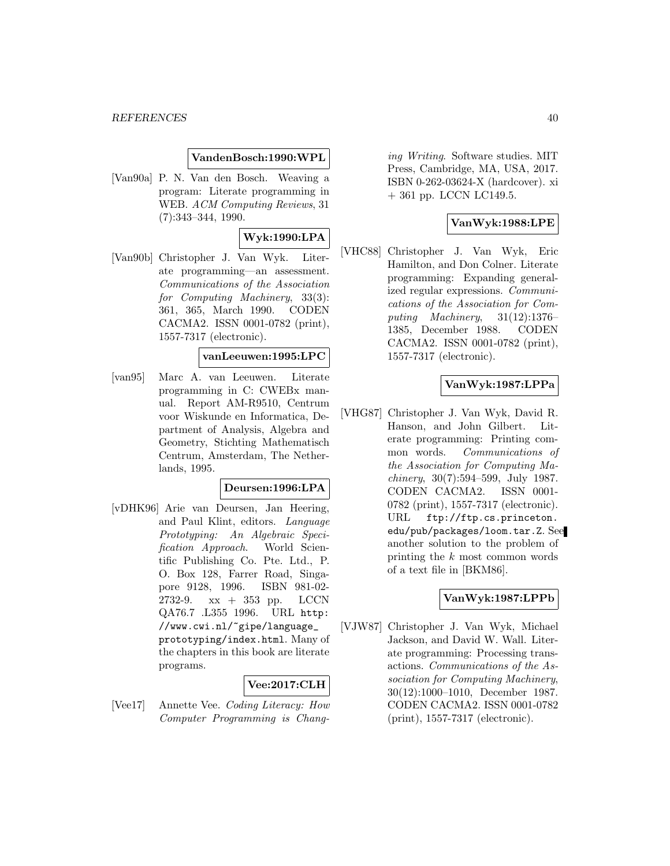#### **VandenBosch:1990:WPL**

[Van90a] P. N. Van den Bosch. Weaving a program: Literate programming in WEB. ACM Computing Reviews, 31 (7):343–344, 1990.

## **Wyk:1990:LPA**

[Van90b] Christopher J. Van Wyk. Literate programming—an assessment. Communications of the Association for Computing Machinery, 33(3): 361, 365, March 1990. CODEN CACMA2. ISSN 0001-0782 (print), 1557-7317 (electronic).

#### **vanLeeuwen:1995:LPC**

[van95] Marc A. van Leeuwen. Literate programming in C: CWEBx manual. Report AM-R9510, Centrum voor Wiskunde en Informatica, Department of Analysis, Algebra and Geometry, Stichting Mathematisch Centrum, Amsterdam, The Netherlands, 1995.

#### **Deursen:1996:LPA**

[vDHK96] Arie van Deursen, Jan Heering, and Paul Klint, editors. Language Prototyping: An Algebraic Specification Approach. World Scientific Publishing Co. Pte. Ltd., P. O. Box 128, Farrer Road, Singapore 9128, 1996. ISBN 981-02- 2732-9. xx + 353 pp. LCCN QA76.7 .L355 1996. URL http: //www.cwi.nl/~gipe/language\_ prototyping/index.html. Many of the chapters in this book are literate programs.

## **Vee:2017:CLH**

[Vee17] Annette Vee. Coding Literacy: How Computer Programming is Chang-

ing Writing. Software studies. MIT Press, Cambridge, MA, USA, 2017. ISBN 0-262-03624-X (hardcover). xi + 361 pp. LCCN LC149.5.

## **VanWyk:1988:LPE**

[VHC88] Christopher J. Van Wyk, Eric Hamilton, and Don Colner. Literate programming: Expanding generalized regular expressions. Communications of the Association for Computing Machinery, 31(12):1376– 1385, December 1988. CODEN CACMA2. ISSN 0001-0782 (print), 1557-7317 (electronic).

## **VanWyk:1987:LPPa**

[VHG87] Christopher J. Van Wyk, David R. Hanson, and John Gilbert. Literate programming: Printing common words. Communications of the Association for Computing Ma*chinery*,  $30(7):594-599$ , July 1987. CODEN CACMA2. ISSN 0001- 0782 (print), 1557-7317 (electronic). URL ftp://ftp.cs.princeton. edu/pub/packages/loom.tar.Z. See another solution to the problem of printing the k most common words of a text file in [BKM86].

### **VanWyk:1987:LPPb**

[VJW87] Christopher J. Van Wyk, Michael Jackson, and David W. Wall. Literate programming: Processing transactions. Communications of the Association for Computing Machinery, 30(12):1000–1010, December 1987. CODEN CACMA2. ISSN 0001-0782 (print), 1557-7317 (electronic).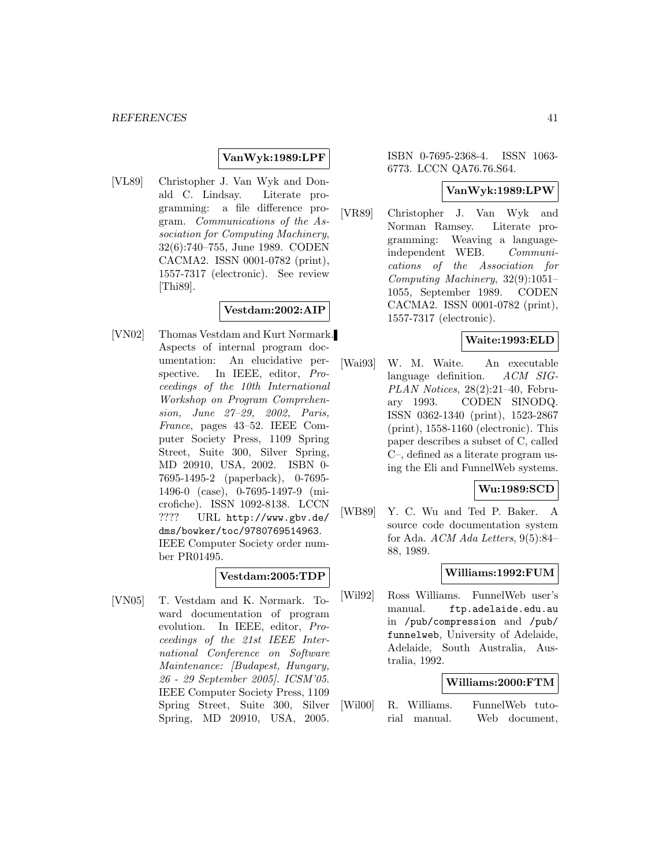### **VanWyk:1989:LPF**

[VL89] Christopher J. Van Wyk and Donald C. Lindsay. Literate programming: a file difference program. Communications of the Association for Computing Machinery, 32(6):740–755, June 1989. CODEN CACMA2. ISSN 0001-0782 (print), 1557-7317 (electronic). See review [Thi89].

## **Vestdam:2002:AIP**

[VN02] Thomas Vestdam and Kurt Nørmark. Aspects of internal program documentation: An elucidative perspective. In IEEE, editor, Proceedings of the 10th International Workshop on Program Comprehension, June 27–29, 2002, Paris, France, pages 43–52. IEEE Computer Society Press, 1109 Spring Street, Suite 300, Silver Spring, MD 20910, USA, 2002. ISBN 0- 7695-1495-2 (paperback), 0-7695- 1496-0 (case), 0-7695-1497-9 (microfiche). ISSN 1092-8138. LCCN ???? URL http://www.gbv.de/ dms/bowker/toc/9780769514963. IEEE Computer Society order number PR01495.

### **Vestdam:2005:TDP**

[VN05] T. Vestdam and K. Nørmark. Toward documentation of program evolution. In IEEE, editor, Proceedings of the 21st IEEE International Conference on Software Maintenance: [Budapest, Hungary, 26 - 29 September 2005]. ICSM'05. IEEE Computer Society Press, 1109 Spring Street, Suite 300, Silver Spring, MD 20910, USA, 2005.

ISBN 0-7695-2368-4. ISSN 1063- 6773. LCCN QA76.76.S64.

#### **VanWyk:1989:LPW**

[VR89] Christopher J. Van Wyk and Norman Ramsey. Literate programming: Weaving a languageindependent WEB. Communications of the Association for Computing Machinery, 32(9):1051– 1055, September 1989. CODEN CACMA2. ISSN 0001-0782 (print), 1557-7317 (electronic).

#### **Waite:1993:ELD**

[Wai93] W. M. Waite. An executable language definition. ACM SIG-PLAN Notices, 28(2):21–40, February 1993. CODEN SINODQ. ISSN 0362-1340 (print), 1523-2867 (print), 1558-1160 (electronic). This paper describes a subset of C, called C–, defined as a literate program using the Eli and FunnelWeb systems.

## **Wu:1989:SCD**

[WB89] Y. C. Wu and Ted P. Baker. A source code documentation system for Ada. ACM Ada Letters, 9(5):84– 88, 1989.

### **Williams:1992:FUM**

[Wil92] Ross Williams. FunnelWeb user's manual. ftp.adelaide.edu.au in /pub/compression and /pub/ funnelweb, University of Adelaide, Adelaide, South Australia, Australia, 1992.

### **Williams:2000:FTM**

[Wil00] R. Williams. FunnelWeb tutorial manual. Web document,